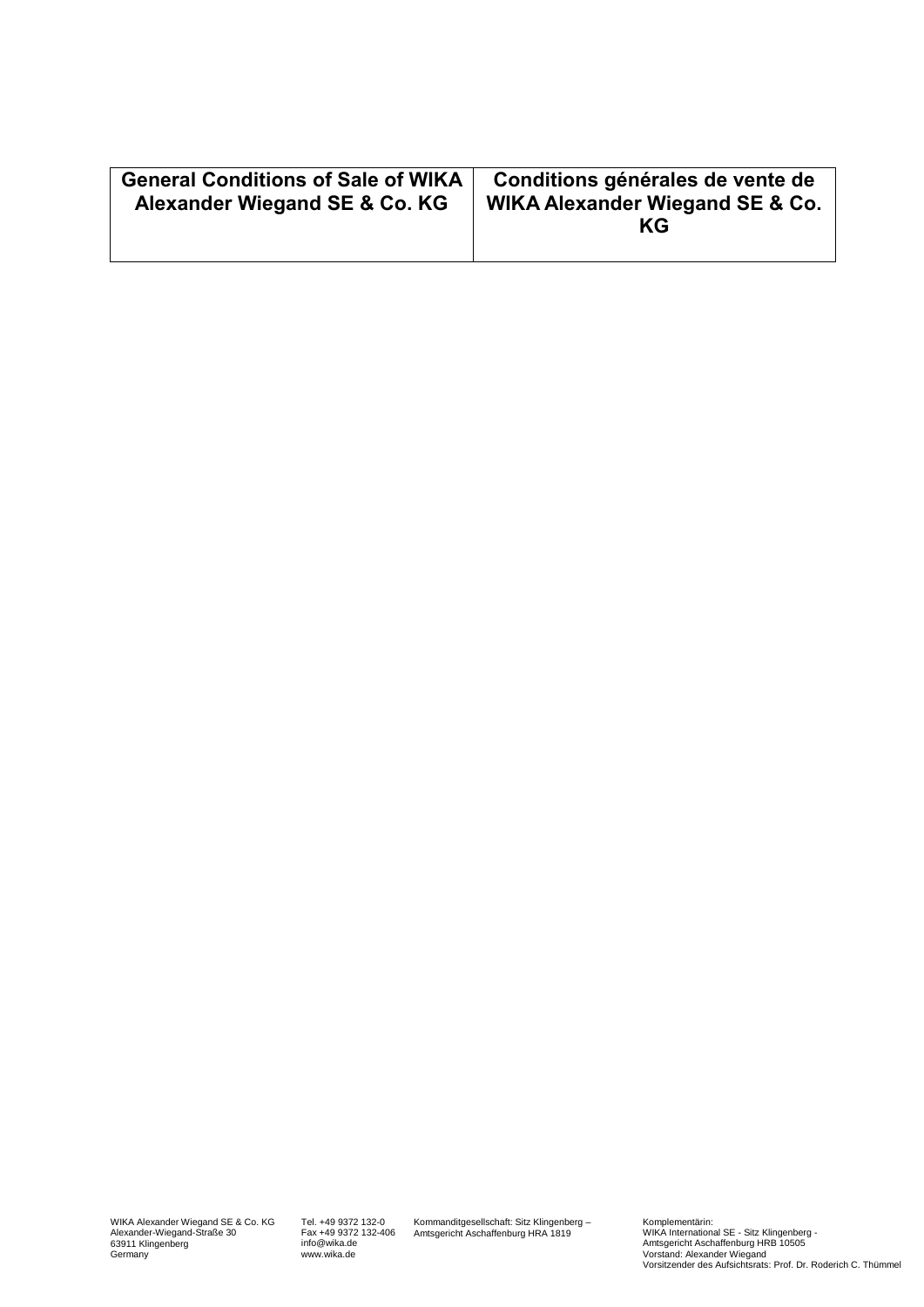| <b>General Conditions of Sale of WIKA</b><br>Alexander Wiegand SE & Co. KG | Conditions générales de vente de<br>WIKA Alexander Wiegand SE & Co.<br>KG |
|----------------------------------------------------------------------------|---------------------------------------------------------------------------|
|----------------------------------------------------------------------------|---------------------------------------------------------------------------|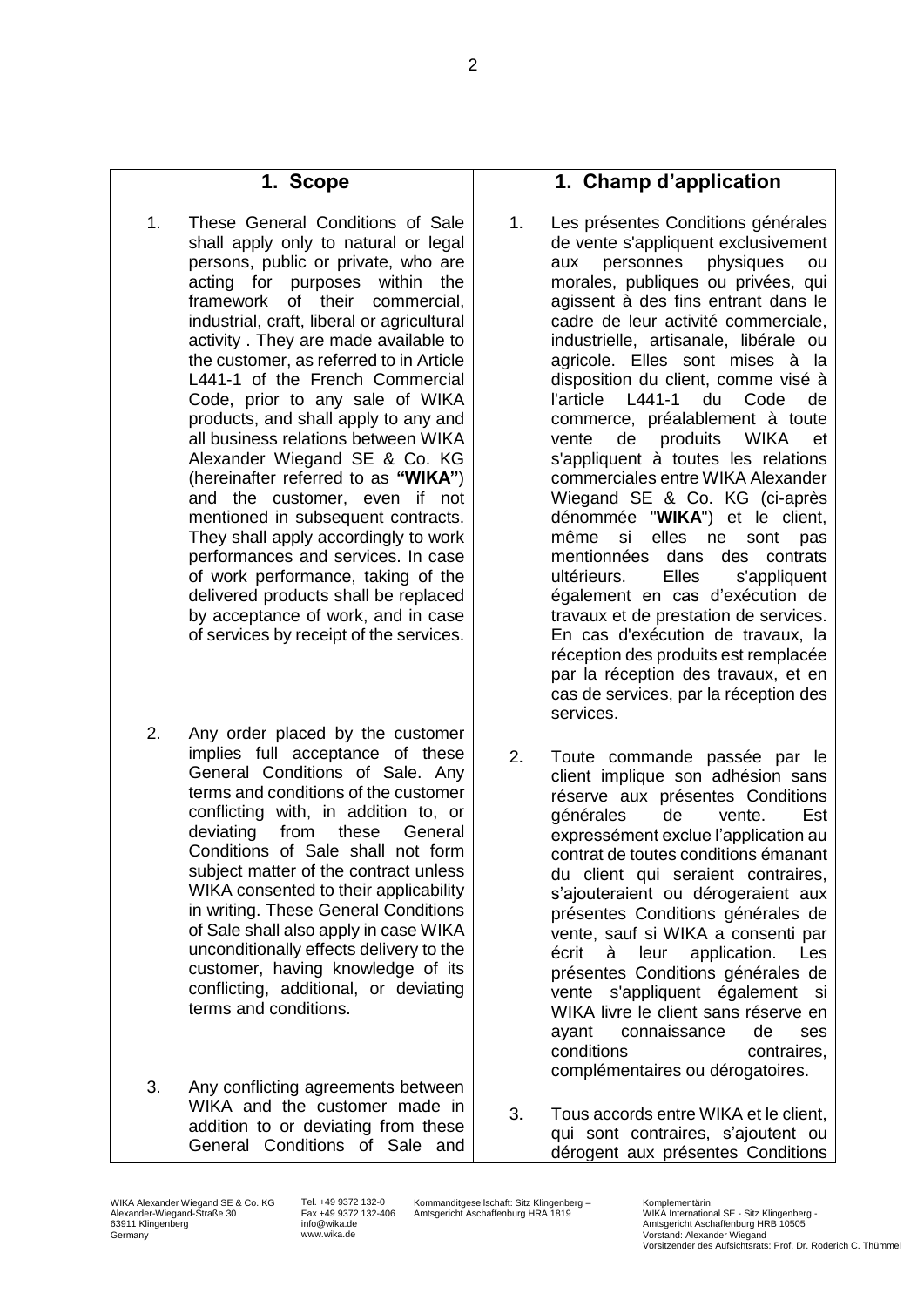#### **1. Scope**

- 1. These General Conditions of Sale shall apply only to natural or legal persons, public or private, who are acting for purposes within the framework of their commercial, industrial, craft, liberal or agricultural activity . They are made available to the customer, as referred to in Article L441-1 of the French Commercial Code, prior to any sale of WIKA products, and shall apply to any and all business relations between WIKA Alexander Wiegand SE & Co. KG (hereinafter referred to as **"WIKA"**) and the customer, even if not mentioned in subsequent contracts. They shall apply accordingly to work performances and services. In case of work performance, taking of the delivered products shall be replaced by acceptance of work, and in case of services by receipt of the services.
- 2. Any order placed by the customer implies full acceptance of these General Conditions of Sale. Any terms and conditions of the customer conflicting with, in addition to, or deviating from these General Conditions of Sale shall not form subject matter of the contract unless WIKA consented to their applicability in writing. These General Conditions of Sale shall also apply in case WIKA unconditionally effects delivery to the customer, having knowledge of its conflicting, additional, or deviating terms and conditions.
- 3. Any conflicting agreements between WIKA and the customer made in addition to or deviating from these General Conditions of Sale and

#### **1. Champ d'application**

- 1. Les présentes Conditions générales de vente s'appliquent exclusivement aux personnes physiques ou morales, publiques ou privées, qui agissent à des fins entrant dans le cadre de leur activité commerciale, industrielle, artisanale, libérale ou agricole. Elles sont mises à la disposition du client, comme visé à l'article L441-1 du Code de commerce, préalablement à toute vente de produits WIKA et s'appliquent à toutes les relations commerciales entre WIKA Alexander Wiegand SE & Co. KG (ci-après dénommée "**WIKA**") et le client, même si elles ne sont pas mentionnées dans des contrats ultérieurs. Elles s'appliquent également en cas d'exécution de travaux et de prestation de services. En cas d'exécution de travaux, la réception des produits est remplacée par la réception des travaux, et en cas de services, par la réception des services.
- 2. Toute commande passée par le client implique son adhésion sans réserve aux présentes Conditions générales de vente. Est expressément exclue l'application au contrat de toutes conditions émanant du client qui seraient contraires, s'ajouteraient ou dérogeraient aux présentes Conditions générales de vente, sauf si WIKA a consenti par écrit à leur application. Les présentes Conditions générales de vente s'appliquent également si WIKA livre le client sans réserve en ayant connaissance de ses conditions contraires, complémentaires ou dérogatoires.
- 3. Tous accords entre WIKA et le client, qui sont contraires, s'ajoutent ou dérogent aux présentes Conditions

WIKA Alexander Wiegand SE & Co. KG Alexander-Wiegand-Straße 30 63911 Klingenberg Germany

Tel. +49 9372 132-0 Fax +49 9372 132-406 info@wika.de www.wika.de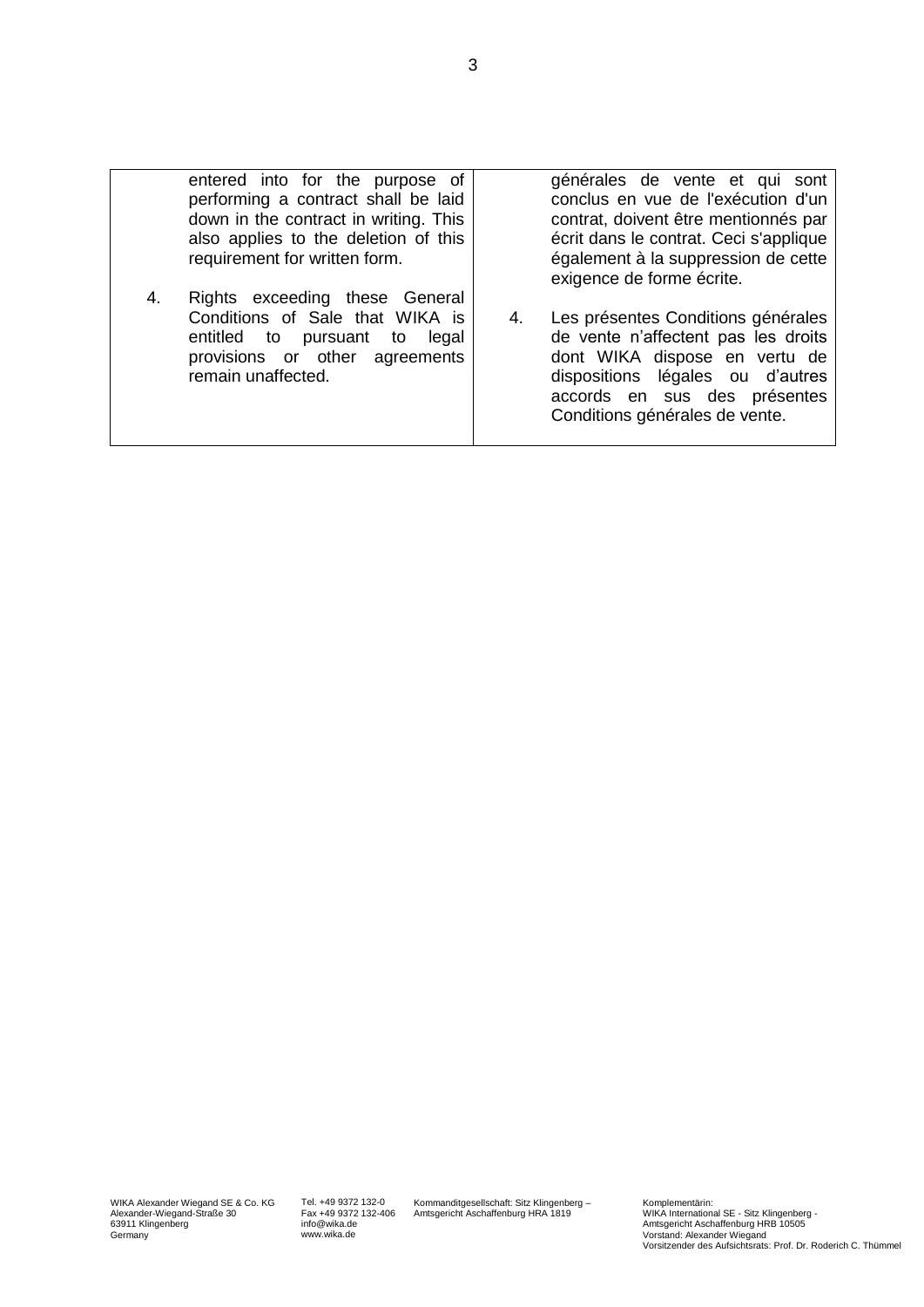| 4. | entered into for the purpose of<br>performing a contract shall be laid<br>down in the contract in writing. This<br>also applies to the deletion of this<br>requirement for written form.<br>Rights exceeding these General |    | générales de vente et qui sont<br>conclus en vue de l'exécution d'un<br>contrat, doivent être mentionnés par<br>écrit dans le contrat. Ceci s'applique<br>également à la suppression de cette<br>exigence de forme écrite. |
|----|----------------------------------------------------------------------------------------------------------------------------------------------------------------------------------------------------------------------------|----|----------------------------------------------------------------------------------------------------------------------------------------------------------------------------------------------------------------------------|
|    | Conditions of Sale that WIKA is<br>entitled to pursuant<br>legal<br>to<br>provisions or other agreements<br>remain unaffected.                                                                                             | 4. | Les présentes Conditions générales<br>de vente n'affectent pas les droits<br>dont WIKA dispose en vertu de<br>dispositions légales ou d'autres<br>accords en sus des présentes<br>Conditions générales de vente.           |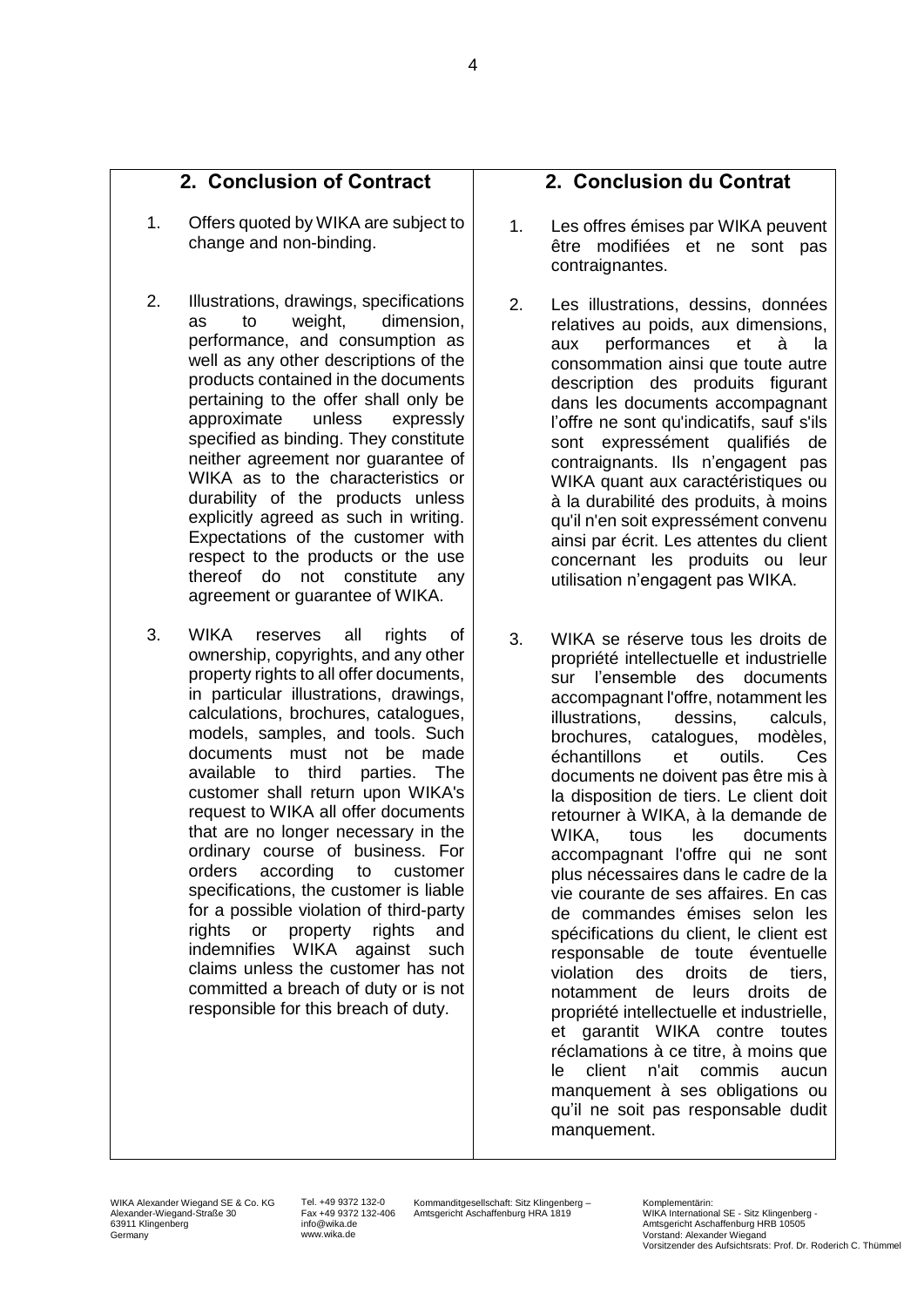## **2. Conclusion of Contract**

- 1. Offers quoted by WIKA are subject to change and non-binding.
- 2. Illustrations, drawings, specifications as to weight, dimension, performance, and consumption as well as any other descriptions of the products contained in the documents pertaining to the offer shall only be approximate unless expressly specified as binding. They constitute neither agreement nor guarantee of WIKA as to the characteristics or durability of the products unless explicitly agreed as such in writing. Expectations of the customer with respect to the products or the use thereof do not constitute any agreement or guarantee of WIKA.
- 3. WIKA reserves all rights of ownership, copyrights, and any other property rights to all offer documents, in particular illustrations, drawings, calculations, brochures, catalogues, models, samples, and tools. Such documents must not be made available to third parties. The customer shall return upon WIKA's request to WIKA all offer documents that are no longer necessary in the ordinary course of business. For orders according to customer specifications, the customer is liable for a possible violation of third-party rights or property rights and indemnifies WIKA against such claims unless the customer has not committed a breach of duty or is not responsible for this breach of duty.

### **2. Conclusion du Contrat**

- 1. Les offres émises par WIKA peuvent être modifiées et ne sont pas contraignantes.
- 2. Les illustrations, dessins, données relatives au poids, aux dimensions, aux performances et à la consommation ainsi que toute autre description des produits figurant dans les documents accompagnant l'offre ne sont qu'indicatifs, sauf s'ils sont expressément qualifiés de contraignants. Ils n'engagent pas WIKA quant aux caractéristiques ou à la durabilité des produits, à moins qu'il n'en soit expressément convenu ainsi par écrit. Les attentes du client concernant les produits ou leur utilisation n'engagent pas WIKA.
- 3. WIKA se réserve tous les droits de propriété intellectuelle et industrielle sur l'ensemble des documents accompagnant l'offre, notamment les illustrations, dessins, calculs, brochures, catalogues, modèles, échantillons et outils. Ces documents ne doivent pas être mis à la disposition de tiers. Le client doit retourner à WIKA, à la demande de WIKA, tous les documents accompagnant l'offre qui ne sont plus nécessaires dans le cadre de la vie courante de ses affaires. En cas de commandes émises selon les spécifications du client, le client est responsable de toute éventuelle violation des droits de tiers, notamment de leurs droits de propriété intellectuelle et industrielle, et garantit WIKA contre toutes réclamations à ce titre, à moins que le client n'ait commis aucun manquement à ses obligations ou qu'il ne soit pas responsable dudit manquement.

WIKA Alexander Wiegand SE & Co. KG Alexander-Wiegand-Straße 30 63911 Klingenberg Germany

Tel. +49 9372 132-0 Fax +49 9372 132-406 info@wika.de www.wika.de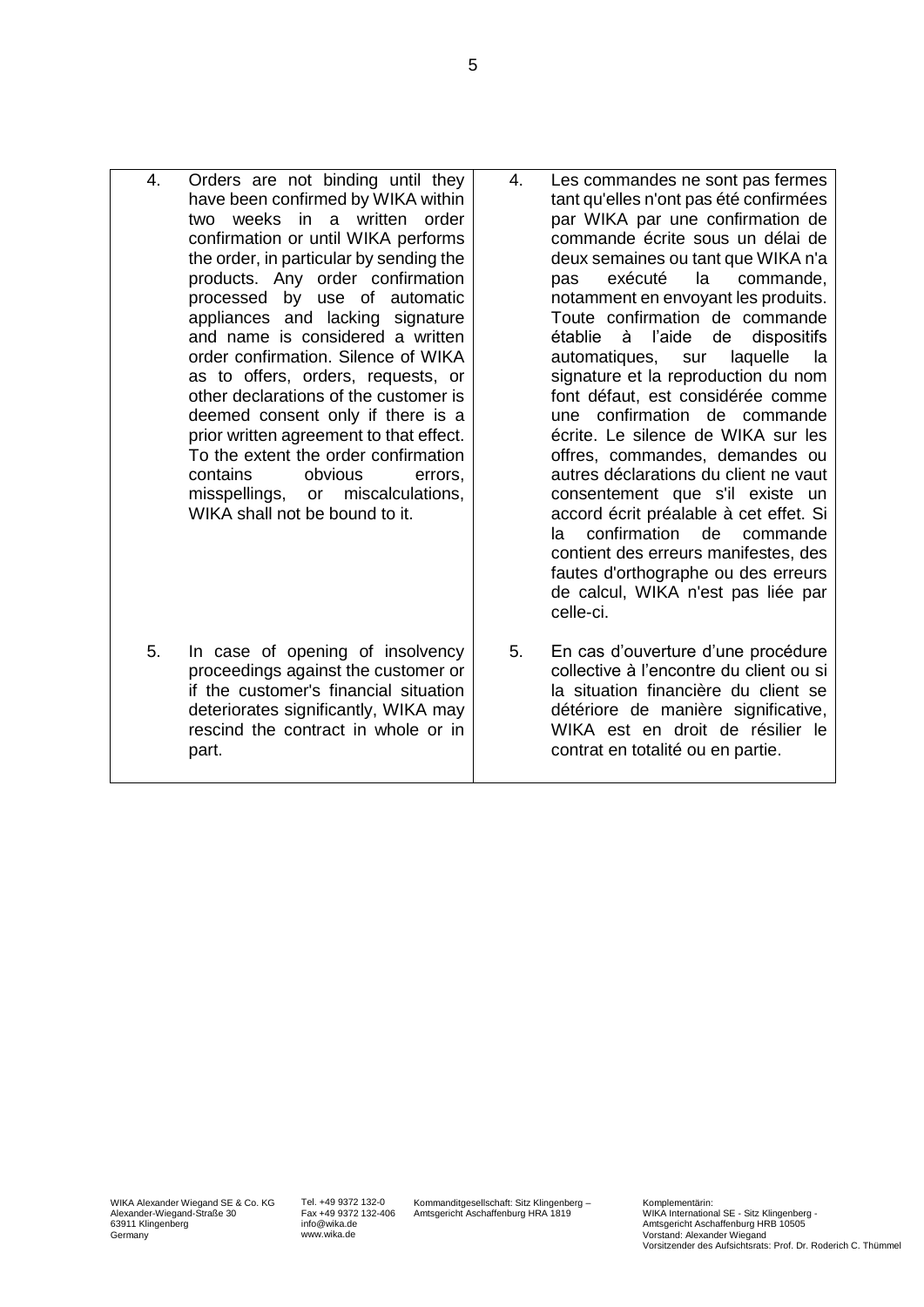- 4. Orders are not binding until they have been confirmed by WIKA within two weeks in a written order confirmation or until WIKA performs the order, in particular by sending the products. Any order confirmation processed by use of automatic appliances and lacking signature and name is considered a written order confirmation. Silence of WIKA as to offers, orders, requests, or other declarations of the customer is deemed consent only if there is a prior written agreement to that effect. To the extent the order confirmation contains obvious errors, misspellings, or miscalculations, WIKA shall not be bound to it.
	- 5. In case of opening of insolvency proceedings against the customer or if the customer's financial situation deteriorates significantly, WIKA may rescind the contract in whole or in part.
- 4. Les commandes ne sont pas fermes tant qu'elles n'ont pas été confirmées par WIKA par une confirmation de commande écrite sous un délai de deux semaines ou tant que WIKA n'a pas exécuté la commande, notamment en envoyant les produits. Toute confirmation de commande établie à l'aide de dispositifs automatiques, sur laquelle la signature et la reproduction du nom font défaut, est considérée comme une confirmation de commande écrite. Le silence de WIKA sur les offres, commandes, demandes ou autres déclarations du client ne vaut consentement que s'il existe un accord écrit préalable à cet effet. Si la confirmation de commande contient des erreurs manifestes, des fautes d'orthographe ou des erreurs de calcul, WIKA n'est pas liée par celle-ci.
- 5. En cas d'ouverture d'une procédure collective à l'encontre du client ou si la situation financière du client se détériore de manière significative, WIKA est en droit de résilier le contrat en totalité ou en partie.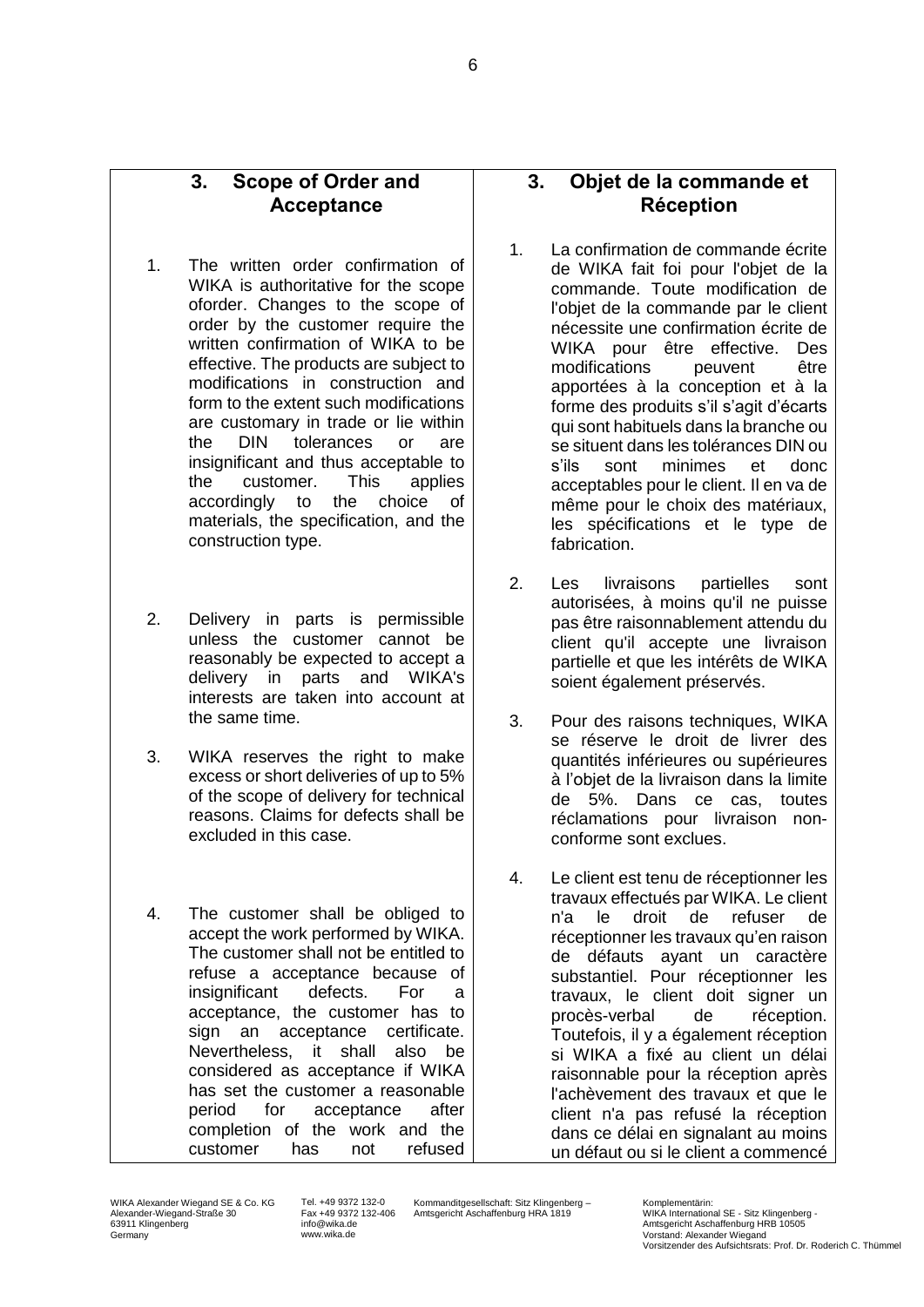### **3. Scope of Order and Acceptance**

- 1. The written order confirmation of WIKA is authoritative for the scope oforder. Changes to the scope of order by the customer require the written confirmation of WIKA to be effective. The products are subject to modifications in construction and form to the extent such modifications are customary in trade or lie within the DIN tolerances or are insignificant and thus acceptable to the customer. This applies accordingly to the choice of materials, the specification, and the construction type.
- 2. Delivery in parts is permissible unless the customer cannot be reasonably be expected to accept a delivery in parts and WIKA's interests are taken into account at the same time.
- 3. WIKA reserves the right to make excess or short deliveries of up to 5% of the scope of delivery for technical reasons. Claims for defects shall be excluded in this case.
- 4. The customer shall be obliged to accept the work performed by WIKA. The customer shall not be entitled to refuse a acceptance because of insignificant defects. For a acceptance, the customer has to sign an acceptance certificate. Nevertheless, it shall also be considered as acceptance if WIKA has set the customer a reasonable period for acceptance after completion of the work and the customer has not refused

## **3. Objet de la commande et Réception**

- 1. La confirmation de commande écrite de WIKA fait foi pour l'objet de la commande. Toute modification de l'objet de la commande par le client nécessite une confirmation écrite de WIKA pour être effective. Des modifications peuvent être apportées à la conception et à la forme des produits s'il s'agit d'écarts qui sont habituels dans la branche ou se situent dans les tolérances DIN ou s'ils sont minimes et donc acceptables pour le client. Il en va de même pour le choix des matériaux, les spécifications et le type de fabrication.
- 2. Les livraisons partielles sont autorisées, à moins qu'il ne puisse pas être raisonnablement attendu du client qu'il accepte une livraison partielle et que les intérêts de WIKA soient également préservés.
- 3. Pour des raisons techniques, WIKA se réserve le droit de livrer des quantités inférieures ou supérieures à l'objet de la livraison dans la limite de 5%. Dans ce cas, toutes réclamations pour livraison nonconforme sont exclues.
- 4. Le client est tenu de réceptionner les travaux effectués par WIKA. Le client n'a le droit de refuser de réceptionner les travaux qu'en raison de défauts ayant un caractère substantiel. Pour réceptionner les travaux, le client doit signer un procès-verbal de réception. Toutefois, il y a également réception si WIKA a fixé au client un délai raisonnable pour la réception après l'achèvement des travaux et que le client n'a pas refusé la réception dans ce délai en signalant au moins un défaut ou si le client a commencé

Tel. +49 9372 132-0 Fax +49 9372 132-406 info@wika.de www.wika.de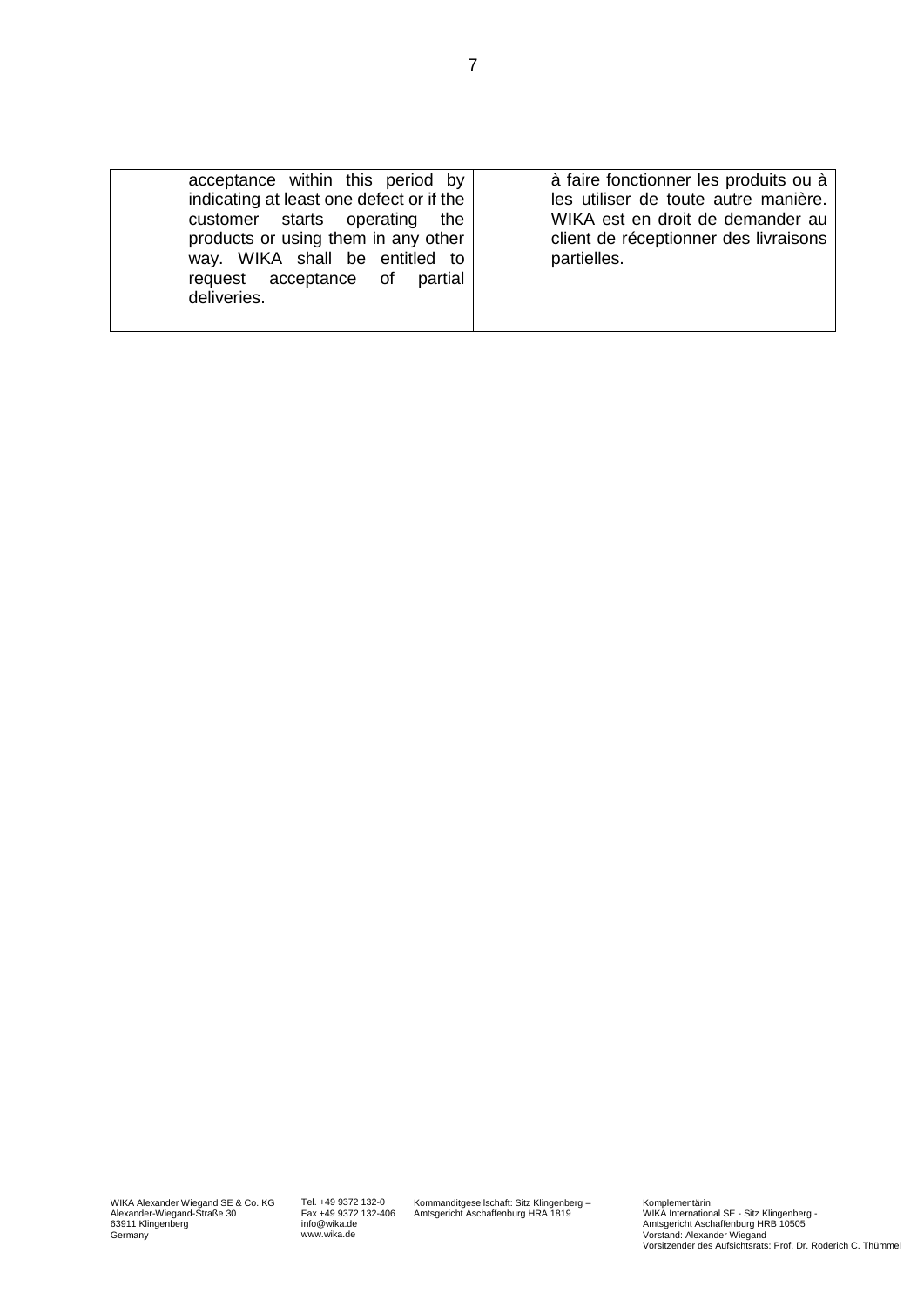| acceptance within this period by<br>indicating at least one defect or if the<br>customer starts operating the<br>products or using them in any other<br>way. WIKA shall be entitled to<br>request acceptance of<br>partial<br>deliveries. | à faire fonctionner les produits ou à<br>les utiliser de toute autre manière.<br>WIKA est en droit de demander au<br>client de réceptionner des livraisons<br>partielles. |
|-------------------------------------------------------------------------------------------------------------------------------------------------------------------------------------------------------------------------------------------|---------------------------------------------------------------------------------------------------------------------------------------------------------------------------|
|-------------------------------------------------------------------------------------------------------------------------------------------------------------------------------------------------------------------------------------------|---------------------------------------------------------------------------------------------------------------------------------------------------------------------------|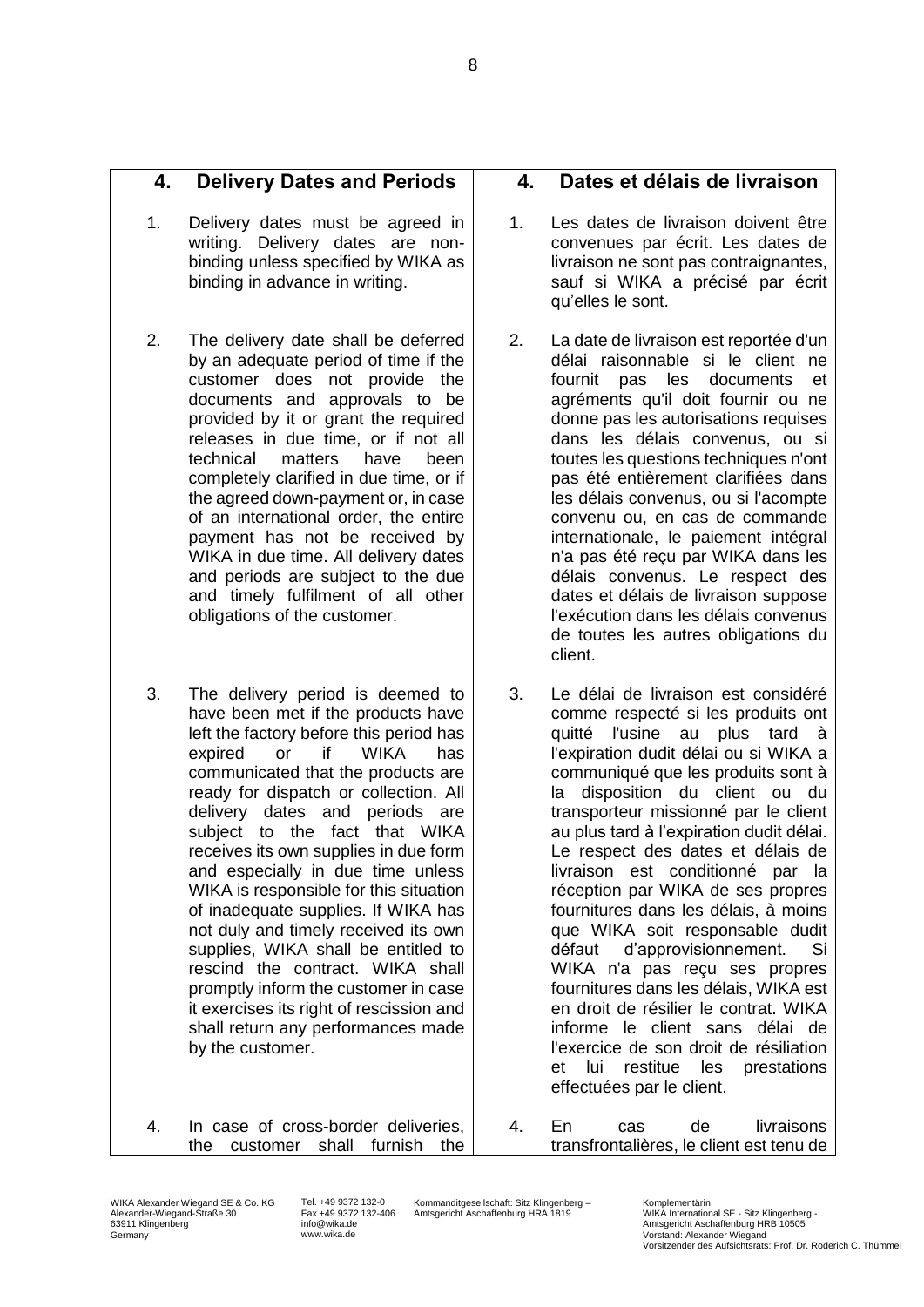Kommanditgesellschaft: Sitz Klingenberg – Amtsgericht Aschaffenburg HRA 1819

## **4. Delivery Dates and Periods**

- 1. Delivery dates must be agreed in writing. Delivery dates are nonbinding unless specified by WIKA as binding in advance in writing.
- 2. The delivery date shall be deferred by an adequate period of time if the customer does not provide the documents and approvals to be provided by it or grant the required releases in due time, or if not all technical matters have been completely clarified in due time, or if the agreed down-payment or, in case of an international order, the entire payment has not be received by WIKA in due time. All delivery dates and periods are subject to the due and timely fulfilment of all other obligations of the customer.
- 3. The delivery period is deemed to have been met if the products have left the factory before this period has expired or if WIKA has communicated that the products are ready for dispatch or collection. All delivery dates and periods are subject to the fact that WIKA receives its own supplies in due form and especially in due time unless WIKA is responsible for this situation of inadequate supplies. If WIKA has not duly and timely received its own supplies, WIKA shall be entitled to rescind the contract. WIKA shall promptly inform the customer in case it exercises its right of rescission and shall return any performances made by the customer.
- 4. In case of cross-border deliveries, the customer shall furnish the

## **4. Dates et délais de livraison**

- 1. Les dates de livraison doivent être convenues par écrit. Les dates de livraison ne sont pas contraignantes, sauf si WIKA a précisé par écrit qu'elles le sont.
- 2. La date de livraison est reportée d'un délai raisonnable si le client ne fournit pas les documents et agréments qu'il doit fournir ou ne donne pas les autorisations requises dans les délais convenus, ou si toutes les questions techniques n'ont pas été entièrement clarifiées dans les délais convenus, ou si l'acompte convenu ou, en cas de commande internationale, le paiement intégral n'a pas été reçu par WIKA dans les délais convenus. Le respect des dates et délais de livraison suppose l'exécution dans les délais convenus de toutes les autres obligations du client.
- 3. Le délai de livraison est considéré comme respecté si les produits ont quitté l'usine au plus tard à l'expiration dudit délai ou si WIKA a communiqué que les produits sont à la disposition du client ou du transporteur missionné par le client au plus tard à l'expiration dudit délai. Le respect des dates et délais de livraison est conditionné par la réception par WIKA de ses propres fournitures dans les délais, à moins que WIKA soit responsable dudit défaut d'approvisionnement. Si WIKA n'a pas reçu ses propres fournitures dans les délais, WIKA est en droit de résilier le contrat. WIKA informe le client sans délai de l'exercice de son droit de résiliation et lui restitue les prestations effectuées par le client.
- 4. En cas de livraisons transfrontalières, le client est tenu de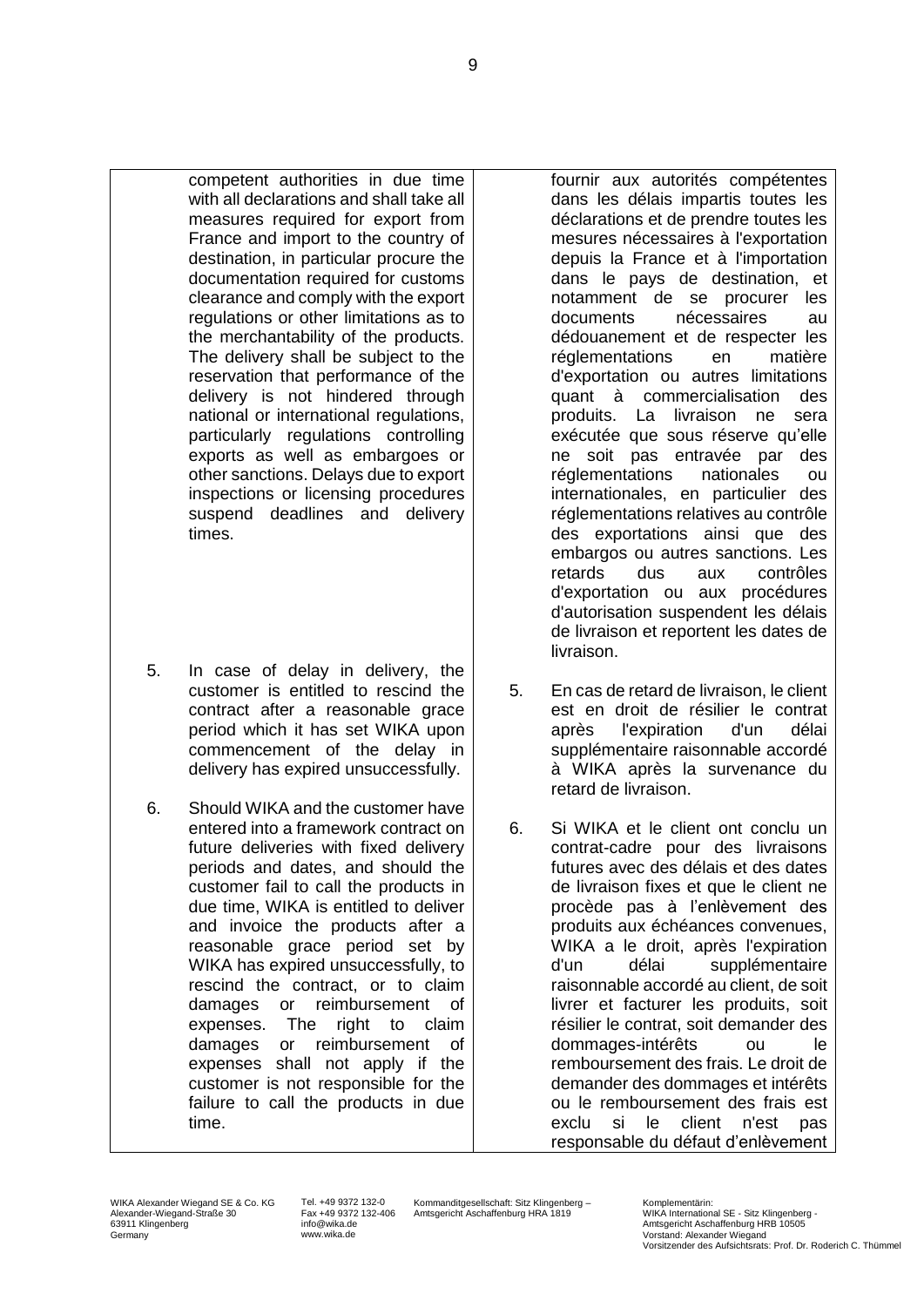competent authorities in due time with all declarations and shall take all measures required for export from France and import to the country of destination, in particular procure the documentation required for customs clearance and comply with the export regulations or other limitations as to the merchantability of the products. The delivery shall be subject to the reservation that performance of the delivery is not hindered through national or international regulations, particularly regulations controlling exports as well as embargoes or other sanctions. Delays due to export inspections or licensing procedures suspend deadlines and delivery times.

- 5. In case of delay in delivery, the customer is entitled to rescind the contract after a reasonable grace period which it has set WIKA upon commencement of the delay in delivery has expired unsuccessfully.
- 6. Should WIKA and the customer have entered into a framework contract on future deliveries with fixed delivery periods and dates, and should the customer fail to call the products in due time, WIKA is entitled to deliver and invoice the products after a reasonable grace period set by WIKA has expired unsuccessfully, to rescind the contract, or to claim damages or reimbursement of expenses. The right to claim damages or reimbursement of expenses shall not apply if the customer is not responsible for the failure to call the products in due time.

fournir aux autorités compétentes dans les délais impartis toutes les déclarations et de prendre toutes les mesures nécessaires à l'exportation depuis la France et à l'importation dans le pays de destination, et notamment de se procurer les documents nécessaires au dédouanement et de respecter les réglementations en matière d'exportation ou autres limitations quant à commercialisation des produits. La livraison ne sera exécutée que sous réserve qu'elle ne soit pas entravée par des réglementations nationales ou internationales, en particulier des réglementations relatives au contrôle des exportations ainsi que des embargos ou autres sanctions. Les retards dus aux contrôles d'exportation ou aux procédures d'autorisation suspendent les délais de livraison et reportent les dates de livraison.

- 5. En cas de retard de livraison, le client est en droit de résilier le contrat après l'expiration d'un délai supplémentaire raisonnable accordé à WIKA après la survenance du retard de livraison.
- 6. Si WIKA et le client ont conclu un contrat-cadre pour des livraisons futures avec des délais et des dates de livraison fixes et que le client ne procède pas à l'enlèvement des produits aux échéances convenues, WIKA a le droit, après l'expiration d'un délai supplémentaire raisonnable accordé au client, de soit livrer et facturer les produits, soit résilier le contrat, soit demander des dommages-intérêts ou le remboursement des frais. Le droit de demander des dommages et intérêts ou le remboursement des frais est exclu si le client n'est pas responsable du défaut d'enlèvement

Tel. +49 9372 132-0 Fax +49 9372 132-406 info@wika.de www.wika.de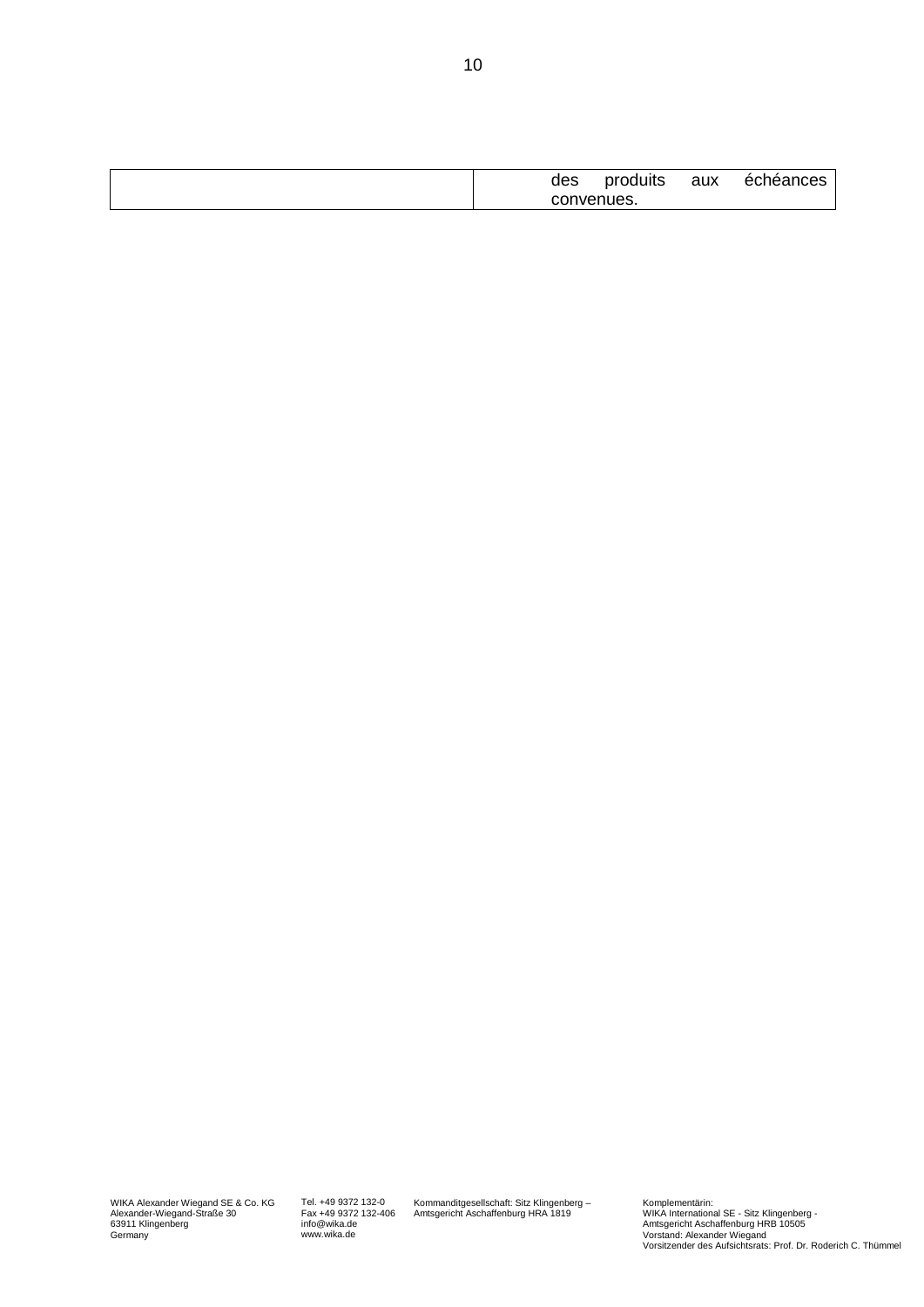| des | produits   | aux | chéances<br>ec. |
|-----|------------|-----|-----------------|
|     | convenues. |     |                 |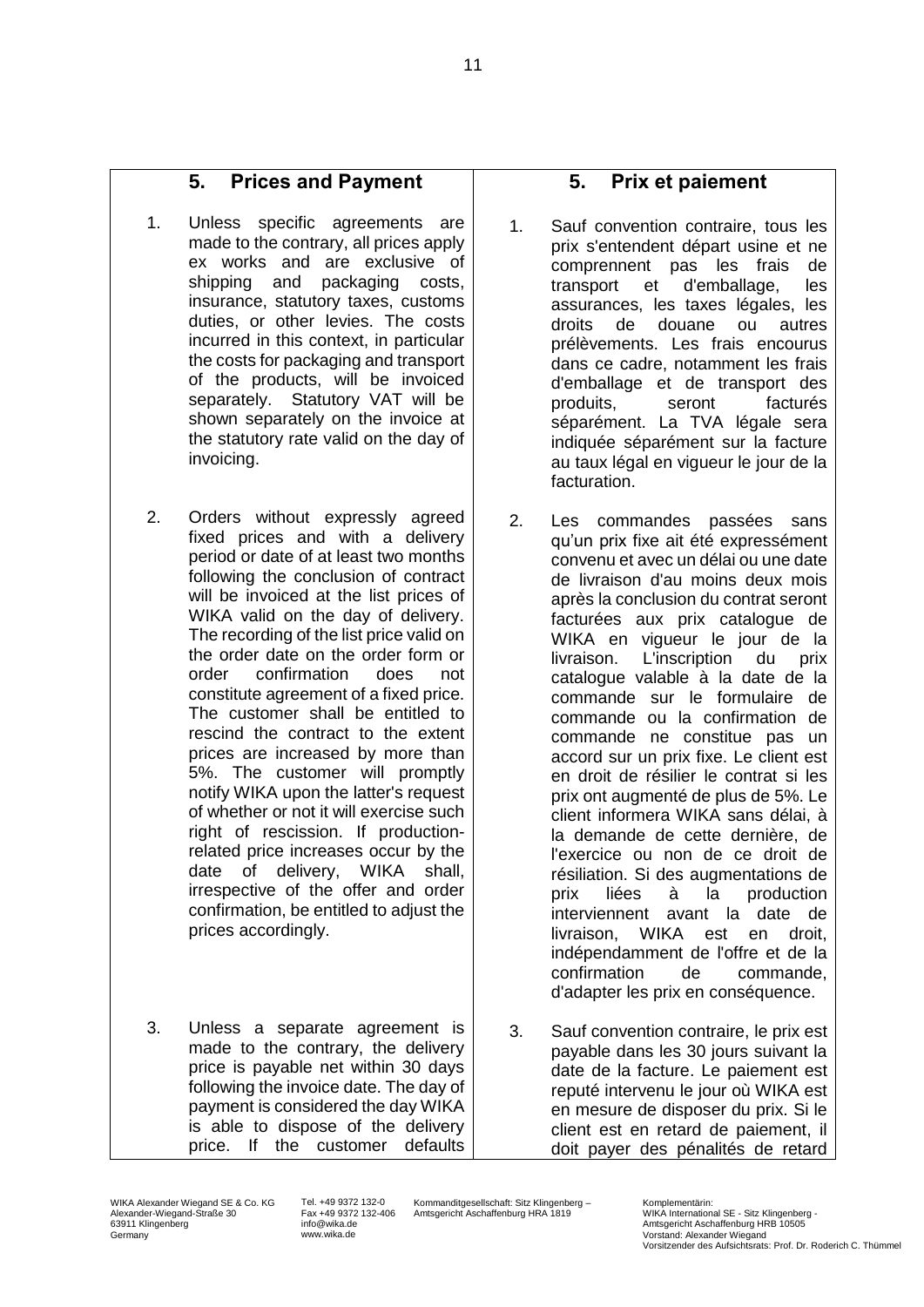## **5. Prices and Payment**

- 1. Unless specific agreements are made to the contrary, all prices apply ex works and are exclusive of shipping and packaging costs, insurance, statutory taxes, customs duties, or other levies. The costs incurred in this context, in particular the costs for packaging and transport of the products, will be invoiced separately. Statutory VAT will be shown separately on the invoice at the statutory rate valid on the day of invoicing.
- 2. Orders without expressly agreed fixed prices and with a delivery period or date of at least two months following the conclusion of contract will be invoiced at the list prices of WIKA valid on the day of delivery. The recording of the list price valid on the order date on the order form or order confirmation does not constitute agreement of a fixed price. The customer shall be entitled to rescind the contract to the extent prices are increased by more than 5%. The customer will promptly notify WIKA upon the latter's request of whether or not it will exercise such right of rescission. If productionrelated price increases occur by the date of delivery, WIKA shall, irrespective of the offer and order confirmation, be entitled to adjust the prices accordingly.
- 3. Unless a separate agreement is made to the contrary, the delivery price is payable net within 30 days following the invoice date. The day of payment is considered the day WIKA is able to dispose of the delivery price. If the customer defaults

### **5. Prix et paiement**

- 1. Sauf convention contraire, tous les prix s'entendent départ usine et ne comprennent pas les frais de transport et d'emballage, les assurances, les taxes légales, les droits de douane ou autres prélèvements. Les frais encourus dans ce cadre, notamment les frais d'emballage et de transport des produits, seront facturés séparément. La TVA légale sera indiquée séparément sur la facture au taux légal en vigueur le jour de la facturation.
- 2. Les commandes passées sans qu'un prix fixe ait été expressément convenu et avec un délai ou une date de livraison d'au moins deux mois après la conclusion du contrat seront facturées aux prix catalogue de WIKA en vigueur le jour de la livraison. L'inscription du prix catalogue valable à la date de la commande sur le formulaire de commande ou la confirmation de commande ne constitue pas un accord sur un prix fixe. Le client est en droit de résilier le contrat si les prix ont augmenté de plus de 5%. Le client informera WIKA sans délai, à la demande de cette dernière, de l'exercice ou non de ce droit de résiliation. Si des augmentations de prix liées à la production interviennent avant la date de livraison, WIKA est en droit, indépendamment de l'offre et de la confirmation de commande, d'adapter les prix en conséquence.
- 3. Sauf convention contraire, le prix est payable dans les 30 jours suivant la date de la facture. Le paiement est reputé intervenu le jour où WIKA est en mesure de disposer du prix. Si le client est en retard de paiement, il doit payer des pénalités de retard

WIKA Alexander Wiegand SE & Co. KG Alexander-Wiegand-Straße 30 63911 Klingenberg Germany

Tel. +49 9372 132-0 Fax +49 9372 132-406 info@wika.de www.wika.de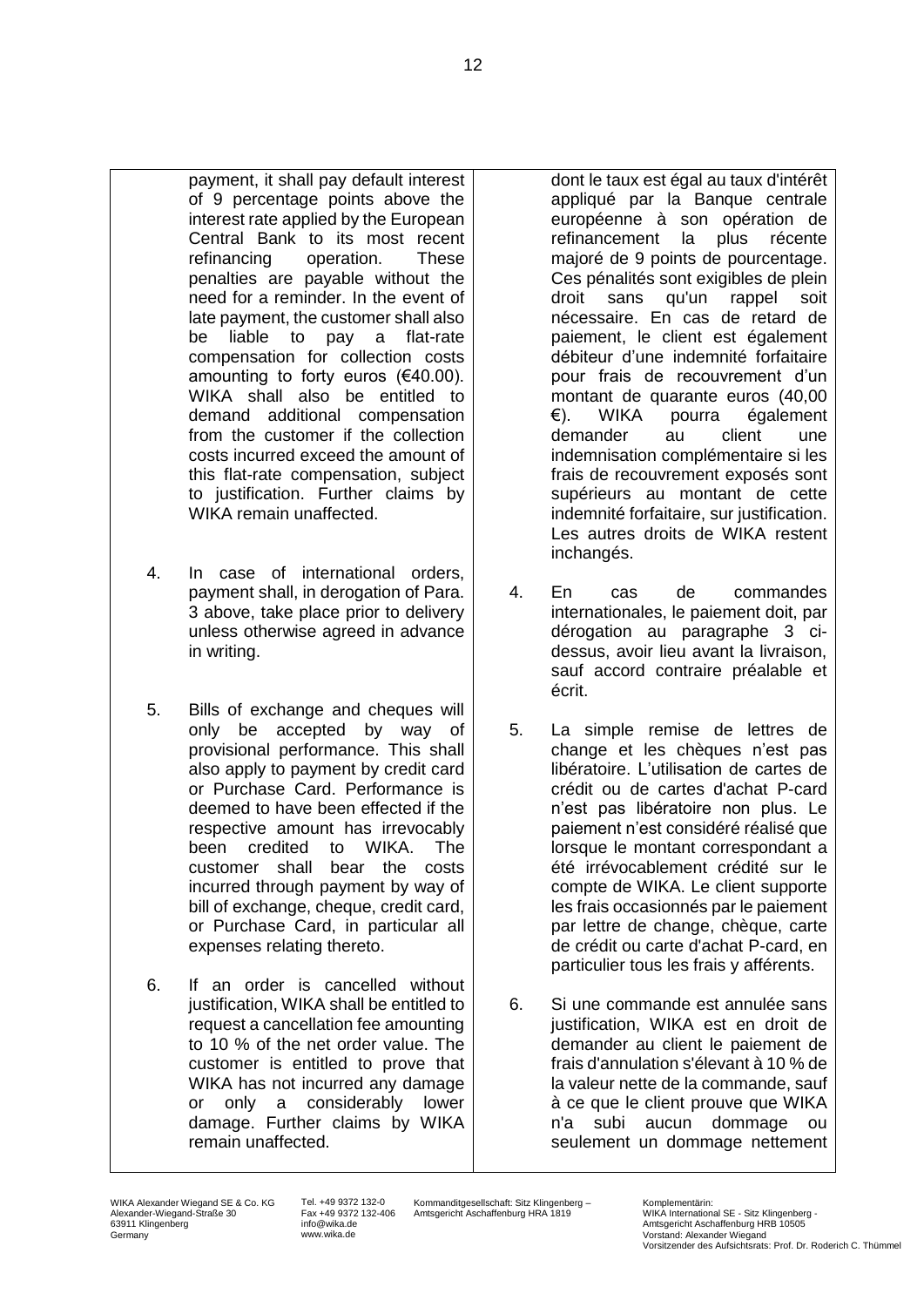payment, it shall pay default interest of 9 percentage points above the interest rate applied by the European Central Bank to its most recent refinancing operation. These penalties are payable without the need for a reminder. In the event of late payment, the customer shall also be liable to pay a flat-rate compensation for collection costs amounting to forty euros (€40.00). WIKA shall also be entitled to demand additional compensation from the customer if the collection costs incurred exceed the amount of this flat-rate compensation, subject to justification. Further claims by WIKA remain unaffected.

- 4. In case of international orders, payment shall, in derogation of Para. 3 above, take place prior to delivery unless otherwise agreed in advance in writing.
- 5. Bills of exchange and cheques will only be accepted by way of provisional performance. This shall also apply to payment by credit card or Purchase Card. Performance is deemed to have been effected if the respective amount has irrevocably been credited to WIKA. The customer shall bear the costs incurred through payment by way of bill of exchange, cheque, credit card, or Purchase Card, in particular all expenses relating thereto.
- 6. If an order is cancelled without justification, WIKA shall be entitled to request a cancellation fee amounting to 10 % of the net order value. The customer is entitled to prove that WIKA has not incurred any damage or only a considerably lower damage. Further claims by WIKA remain unaffected.

dont le taux est égal au taux d'intérêt appliqué par la Banque centrale européenne à son opération de refinancement la plus récente majoré de 9 points de pourcentage. Ces pénalités sont exigibles de plein droit sans qu'un rappel soit nécessaire. En cas de retard de paiement, le client est également débiteur d'une indemnité forfaitaire pour frais de recouvrement d'un montant de quarante euros (40,00 €). WIKA pourra également demander au client une indemnisation complémentaire si les frais de recouvrement exposés sont supérieurs au montant de cette indemnité forfaitaire, sur justification. Les autres droits de WIKA restent inchangés.

- 4. En cas de commandes internationales, le paiement doit, par dérogation au paragraphe 3 cidessus, avoir lieu avant la livraison, sauf accord contraire préalable et écrit.
- 5. La simple remise de lettres de change et les chèques n'est pas libératoire. L'utilisation de cartes de crédit ou de cartes d'achat P-card n'est pas libératoire non plus. Le paiement n'est considéré réalisé que lorsque le montant correspondant a été irrévocablement crédité sur le compte de WIKA. Le client supporte les frais occasionnés par le paiement par lettre de change, chèque, carte de crédit ou carte d'achat P-card, en particulier tous les frais y afférents.
- 6. Si une commande est annulée sans justification, WIKA est en droit de demander au client le paiement de frais d'annulation s'élevant à 10 % de la valeur nette de la commande, sauf à ce que le client prouve que WIKA n'a subi aucun dommage ou seulement un dommage nettement

Tel. +49 9372 132-0 Fax +49 9372 132-406 info@wika.de www.wika.de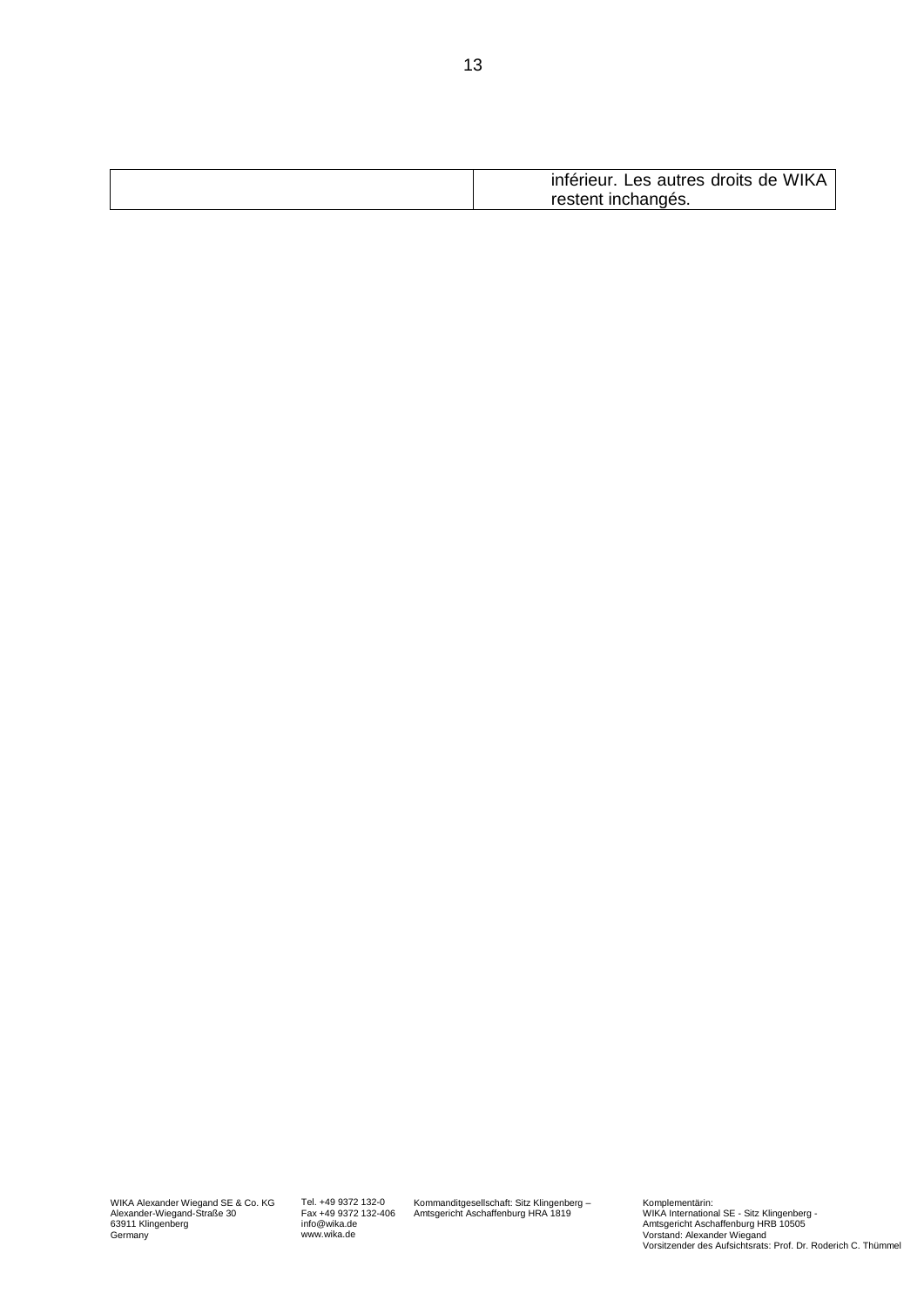| inférieur.<br>* Les autres droits de WIKA |
|-------------------------------------------|
| restent inchangés.                        |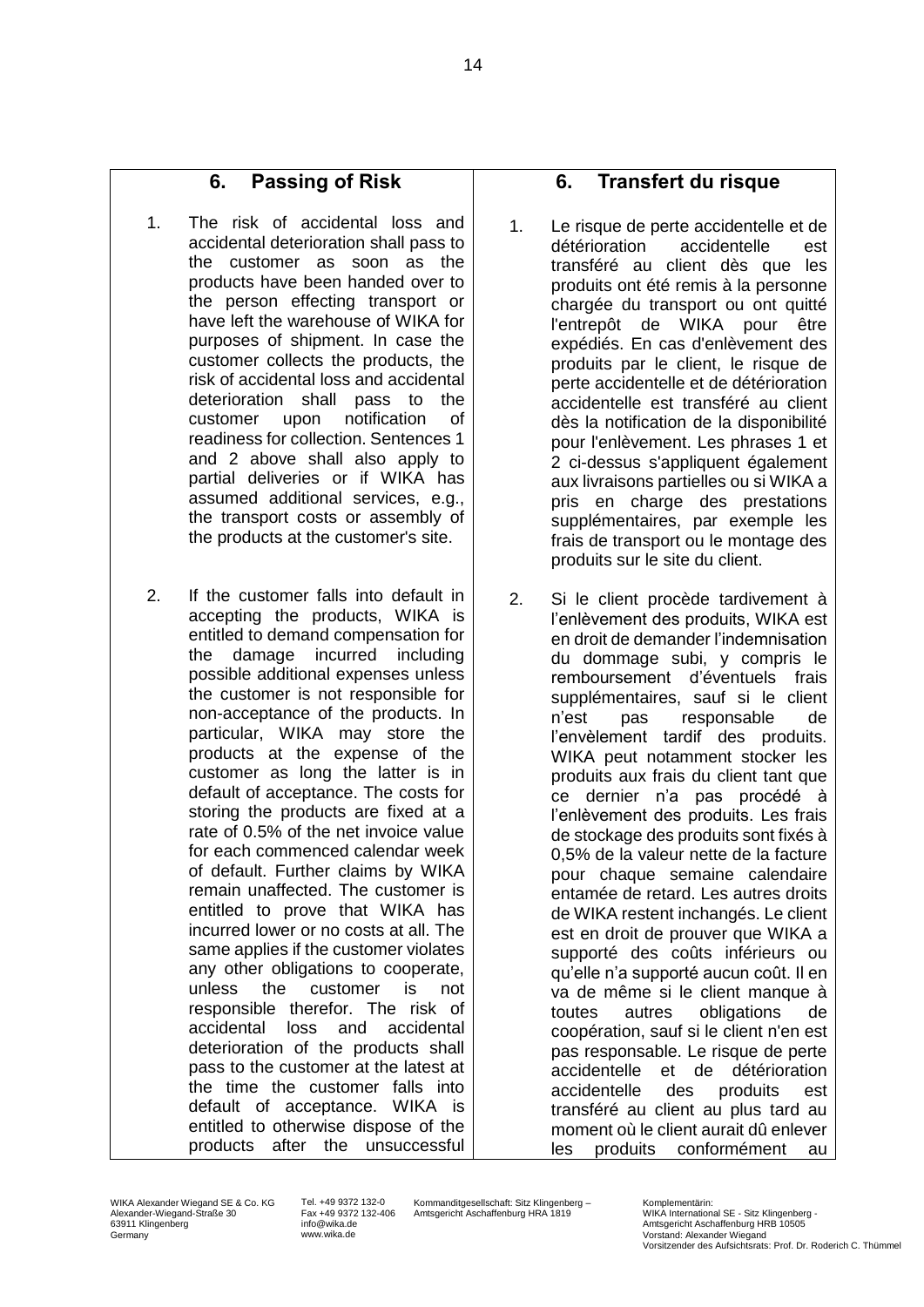## **6. Passing of Risk**

- 1. The risk of accidental loss and accidental deterioration shall pass to the customer as soon as the products have been handed over to the person effecting transport or have left the warehouse of WIKA for purposes of shipment. In case the customer collects the products, the risk of accidental loss and accidental deterioration shall pass to the customer upon notification of readiness for collection. Sentences 1 and 2 above shall also apply to partial deliveries or if WIKA has assumed additional services, e.g., the transport costs or assembly of the products at the customer's site.
- 2. If the customer falls into default in accepting the products, WIKA is entitled to demand compensation for the damage incurred including possible additional expenses unless the customer is not responsible for non-acceptance of the products. In particular, WIKA may store the products at the expense of the customer as long the latter is in default of acceptance. The costs for storing the products are fixed at a rate of 0.5% of the net invoice value for each commenced calendar week of default. Further claims by WIKA remain unaffected. The customer is entitled to prove that WIKA has incurred lower or no costs at all. The same applies if the customer violates any other obligations to cooperate, unless the customer is not responsible therefor. The risk of accidental loss and accidental deterioration of the products shall pass to the customer at the latest at the time the customer falls into default of acceptance. WIKA is entitled to otherwise dispose of the products after the unsuccessful

### **6. Transfert du risque**

- 1. Le risque de perte accidentelle et de détérioration accidentelle est transféré au client dès que les produits ont été remis à la personne chargée du transport ou ont quitté l'entrepôt de WIKA pour être expédiés. En cas d'enlèvement des produits par le client, le risque de perte accidentelle et de détérioration accidentelle est transféré au client dès la notification de la disponibilité pour l'enlèvement. Les phrases 1 et 2 ci-dessus s'appliquent également aux livraisons partielles ou si WIKA a pris en charge des prestations supplémentaires, par exemple les frais de transport ou le montage des produits sur le site du client.
- 2. Si le client procède tardivement à l'enlèvement des produits, WIKA est en droit de demander l'indemnisation du dommage subi, y compris le remboursement d'éventuels frais supplémentaires, sauf si le client n'est pas responsable de l'envèlement tardif des produits. WIKA peut notamment stocker les produits aux frais du client tant que ce dernier n'a pas procédé à l'enlèvement des produits. Les frais de stockage des produits sont fixés à 0,5% de la valeur nette de la facture pour chaque semaine calendaire entamée de retard. Les autres droits de WIKA restent inchangés. Le client est en droit de prouver que WIKA a supporté des coûts inférieurs ou qu'elle n'a supporté aucun coût. Il en va de même si le client manque à toutes autres obligations de coopération, sauf si le client n'en est pas responsable. Le risque de perte accidentelle et de détérioration accidentelle des produits est transféré au client au plus tard au moment où le client aurait dû enlever les produits conformément au

Tel. +49 9372 132-0 Fax +49 9372 132-406 info@wika.de www.wika.de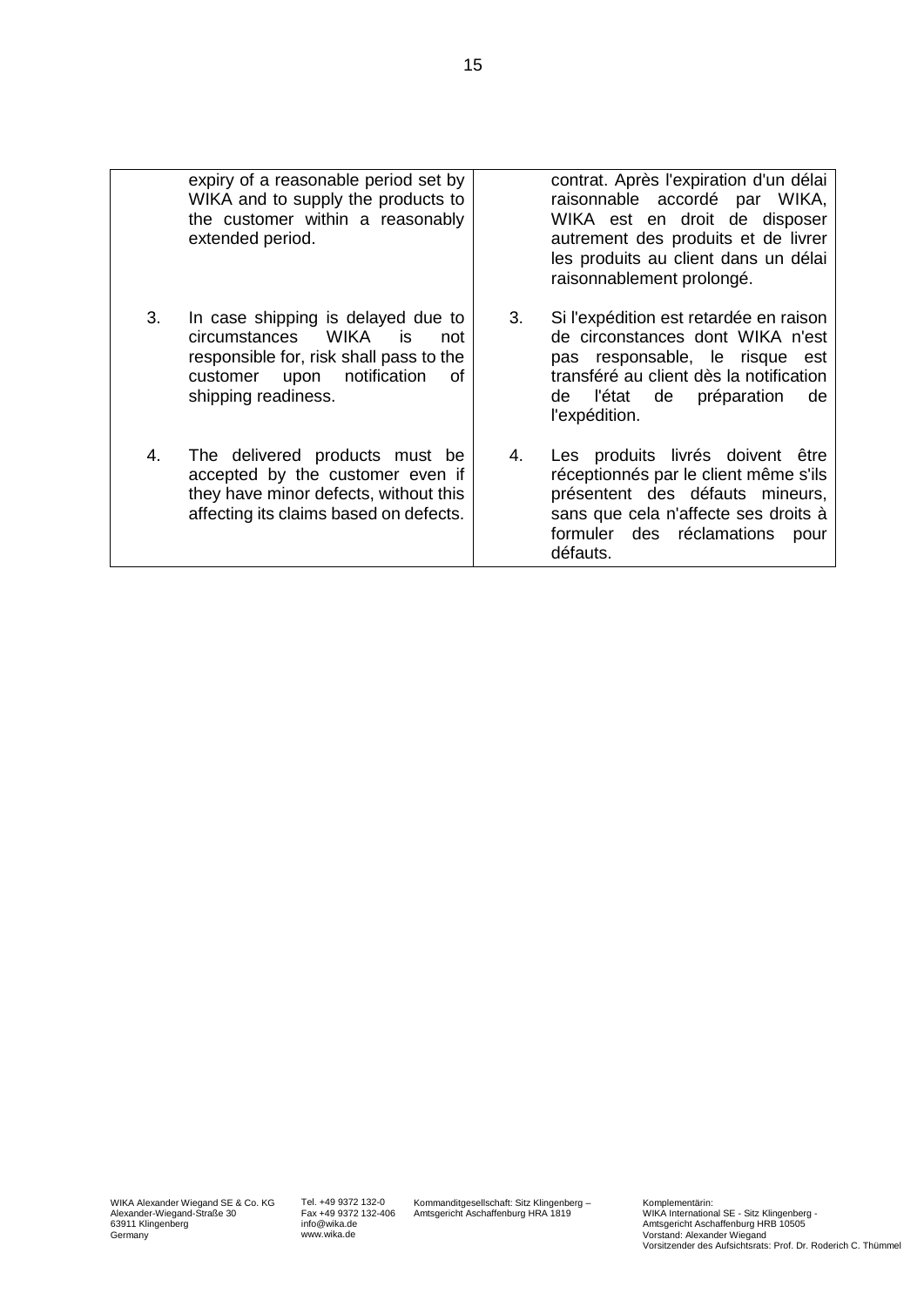|    | expiry of a reasonable period set by<br>WIKA and to supply the products to<br>the customer within a reasonably<br>extended period.                                           |    | contrat. Après l'expiration d'un délai<br>raisonnable accordé par WIKA,<br>WIKA est en droit de disposer<br>autrement des produits et de livrer<br>les produits au client dans un délai<br>raisonnablement prolongé. |
|----|------------------------------------------------------------------------------------------------------------------------------------------------------------------------------|----|----------------------------------------------------------------------------------------------------------------------------------------------------------------------------------------------------------------------|
| 3. | In case shipping is delayed due to<br>circumstances WIKA<br>is.<br>not<br>responsible for, risk shall pass to the<br>customer upon notification<br>οf<br>shipping readiness. | 3. | Si l'expédition est retardée en raison<br>de circonstances dont WIKA n'est<br>pas responsable, le risque<br>est<br>transféré au client dès la notification<br>préparation<br>l'état de<br>de<br>de<br>l'expédition.  |
| 4. | The delivered products must be<br>accepted by the customer even if<br>they have minor defects, without this<br>affecting its claims based on defects.                        | 4. | Les produits livrés doivent être<br>réceptionnés par le client même s'ils<br>présentent des défauts mineurs,<br>sans que cela n'affecte ses droits à<br>formuler des réclamations<br>pour<br>défauts.                |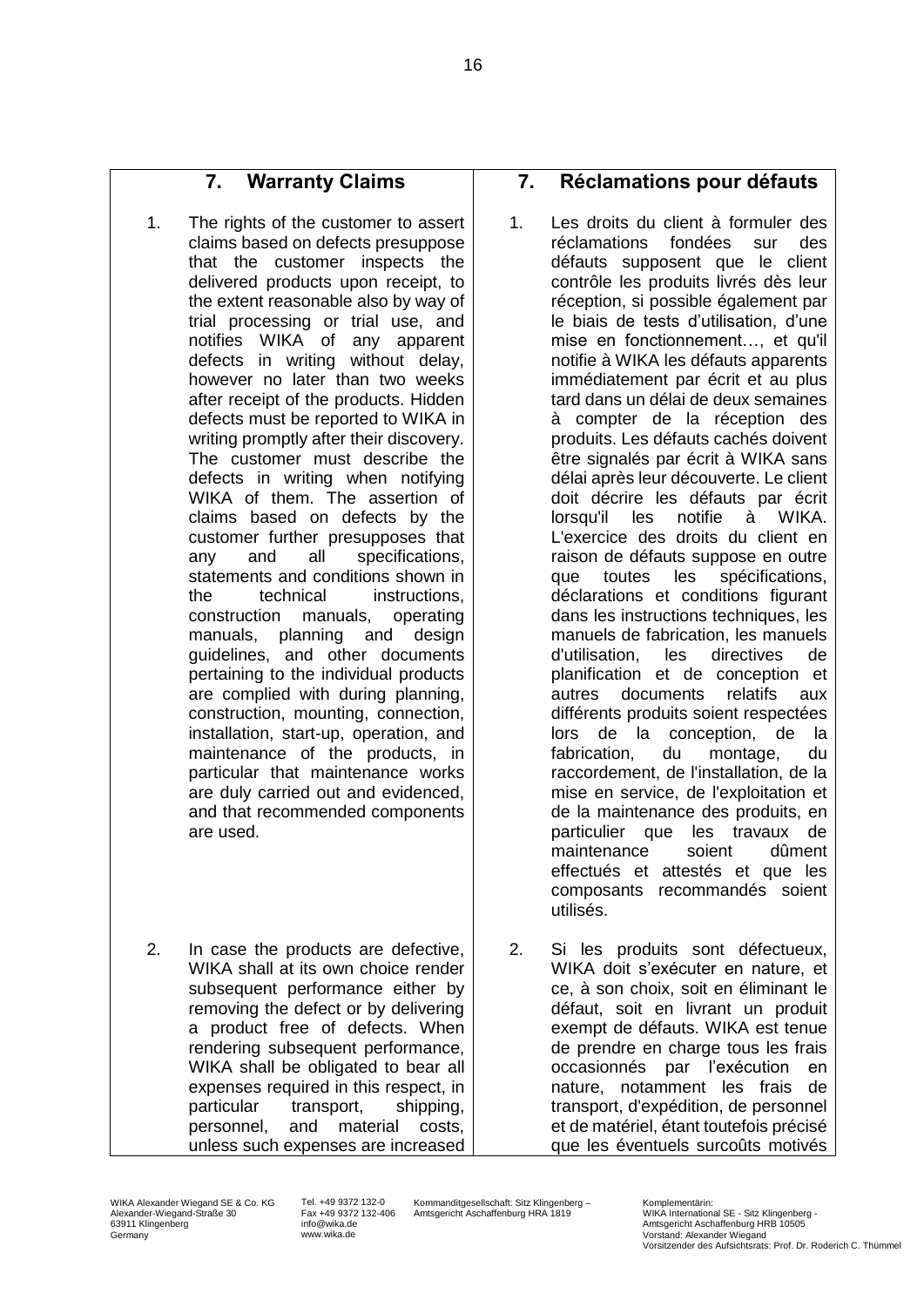# **7. Warranty Claims**

- 1. The rights of the customer to assert claims based on defects presuppose that the customer inspects the delivered products upon receipt, to the extent reasonable also by way of trial processing or trial use, and notifies WIKA of any apparent defects in writing without delay, however no later than two weeks after receipt of the products. Hidden defects must be reported to WIKA in writing promptly after their discovery. The customer must describe the defects in writing when notifying WIKA of them. The assertion of claims based on defects by the customer further presupposes that any and all specifications, statements and conditions shown in the technical instructions, construction manuals, operating manuals, planning and design guidelines, and other documents pertaining to the individual products are complied with during planning, construction, mounting, connection, installation, start-up, operation, and maintenance of the products, in particular that maintenance works are duly carried out and evidenced, and that recommended components are used.
- 2. In case the products are defective, WIKA shall at its own choice render subsequent performance either by removing the defect or by delivering a product free of defects. When rendering subsequent performance, WIKA shall be obligated to bear all expenses required in this respect, in particular transport, shipping, personnel, and material costs, unless such expenses are increased

#### **7. Réclamations pour défauts**

- 1. Les droits du client à formuler des réclamations fondées sur des défauts supposent que le client contrôle les produits livrés dès leur réception, si possible également par le biais de tests d'utilisation, d'une mise en fonctionnement…, et qu'il notifie à WIKA les défauts apparents immédiatement par écrit et au plus tard dans un délai de deux semaines à compter de la réception des produits. Les défauts cachés doivent être signalés par écrit à WIKA sans délai après leur découverte. Le client doit décrire les défauts par écrit lorsqu'il les notifie à WIKA. L'exercice des droits du client en raison de défauts suppose en outre que toutes les spécifications, déclarations et conditions figurant dans les instructions techniques, les manuels de fabrication, les manuels d'utilisation, les directives de planification et de conception et autres documents relatifs aux différents produits soient respectées lors de la conception, de la fabrication, du montage, du raccordement, de l'installation, de la mise en service, de l'exploitation et de la maintenance des produits, en particulier que les travaux de maintenance soient dûment effectués et attestés et que les composants recommandés soient utilisés.
- 2. Si les produits sont défectueux, WIKA doit s'exécuter en nature, et ce, à son choix, soit en éliminant le défaut, soit en livrant un produit exempt de défauts. WIKA est tenue de prendre en charge tous les frais occasionnés par l'exécution en nature, notamment les frais de transport, d'expédition, de personnel et de matériel, étant toutefois précisé que les éventuels surcoûts motivés

Tel. +49 9372 132-0 Fax +49 9372 132-406 info@wika.de www.wika.de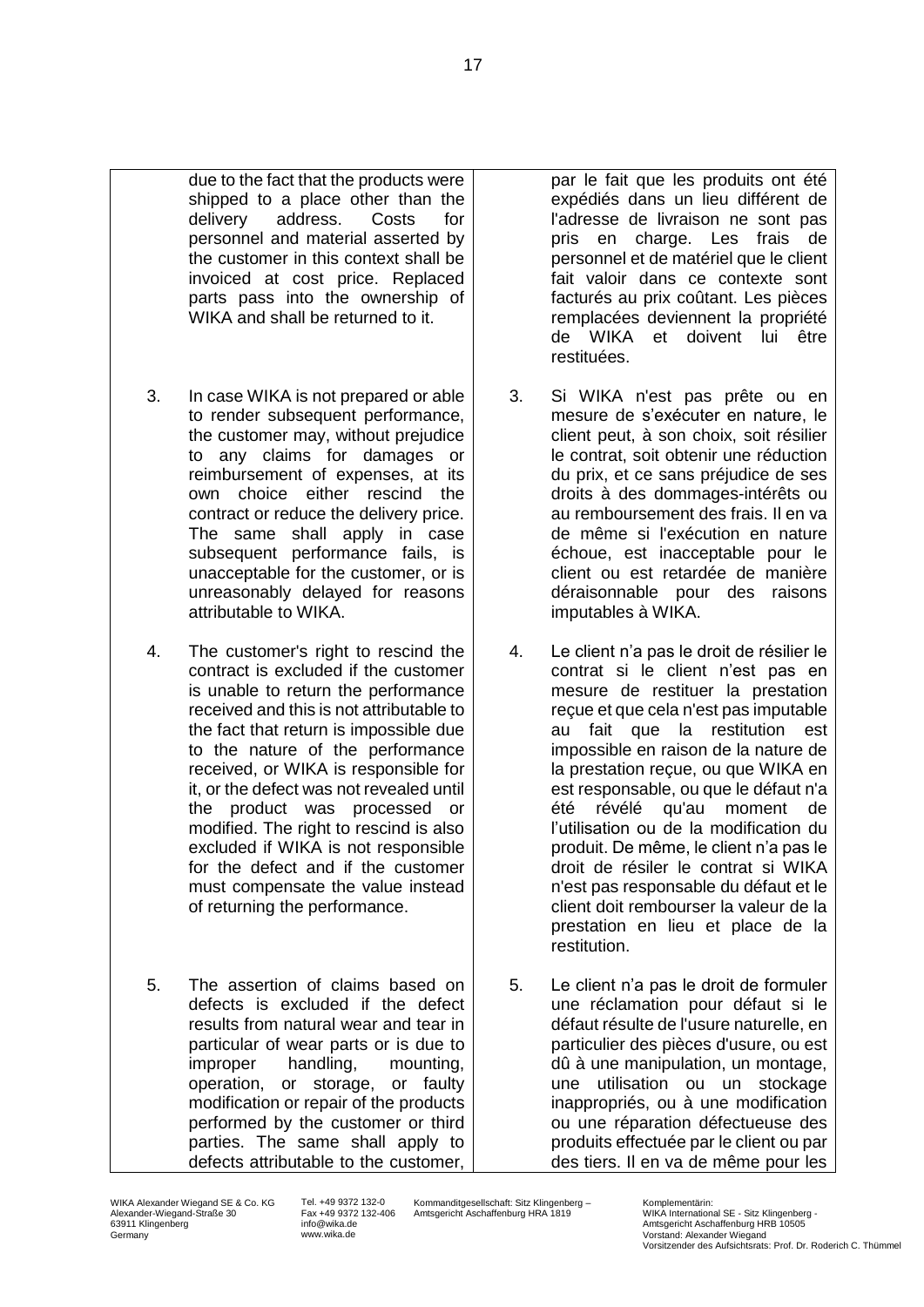- due to the fact that the products were shipped to a place other than the delivery address. Costs for personnel and material asserted by the customer in this context shall be invoiced at cost price. Replaced parts pass into the ownership of WIKA and shall be returned to it.
- 3. In case WIKA is not prepared or able to render subsequent performance, the customer may, without prejudice to any claims for damages or reimbursement of expenses, at its own choice either rescind the contract or reduce the delivery price. The same shall apply in case subsequent performance fails, is unacceptable for the customer, or is unreasonably delayed for reasons attributable to WIKA.
- 4. The customer's right to rescind the contract is excluded if the customer is unable to return the performance received and this is not attributable to the fact that return is impossible due to the nature of the performance received, or WIKA is responsible for it, or the defect was not revealed until the product was processed or modified. The right to rescind is also excluded if WIKA is not responsible for the defect and if the customer must compensate the value instead of returning the performance.
- 5. The assertion of claims based on defects is excluded if the defect results from natural wear and tear in particular of wear parts or is due to improper handling, mounting, operation, or storage, or faulty modification or repair of the products performed by the customer or third parties. The same shall apply to defects attributable to the customer,

par le fait que les produits ont été expédiés dans un lieu différent de l'adresse de livraison ne sont pas pris en charge. Les frais de personnel et de matériel que le client fait valoir dans ce contexte sont facturés au prix coûtant. Les pièces remplacées deviennent la propriété de WIKA et doivent lui être restituées.

- 3. Si WIKA n'est pas prête ou en mesure de s'exécuter en nature, le client peut, à son choix, soit résilier le contrat, soit obtenir une réduction du prix, et ce sans préjudice de ses droits à des dommages-intérêts ou au remboursement des frais. Il en va de même si l'exécution en nature échoue, est inacceptable pour le client ou est retardée de manière déraisonnable pour des raisons imputables à WIKA.
- 4. Le client n'a pas le droit de résilier le contrat si le client n'est pas en mesure de restituer la prestation reçue et que cela n'est pas imputable au fait que la restitution est impossible en raison de la nature de la prestation reçue, ou que WIKA en est responsable, ou que le défaut n'a été révélé qu'au moment de l'utilisation ou de la modification du produit. De même, le client n'a pas le droit de résiler le contrat si WIKA n'est pas responsable du défaut et le client doit rembourser la valeur de la prestation en lieu et place de la restitution.
- 5. Le client n'a pas le droit de formuler une réclamation pour défaut si le défaut résulte de l'usure naturelle, en particulier des pièces d'usure, ou est dû à une manipulation, un montage, une utilisation ou un stockage inappropriés, ou à une modification ou une réparation défectueuse des produits effectuée par le client ou par des tiers. Il en va de même pour les

Tel. +49 9372 132-0 Fax +49 9372 132-406 info@wika.de www.wika.de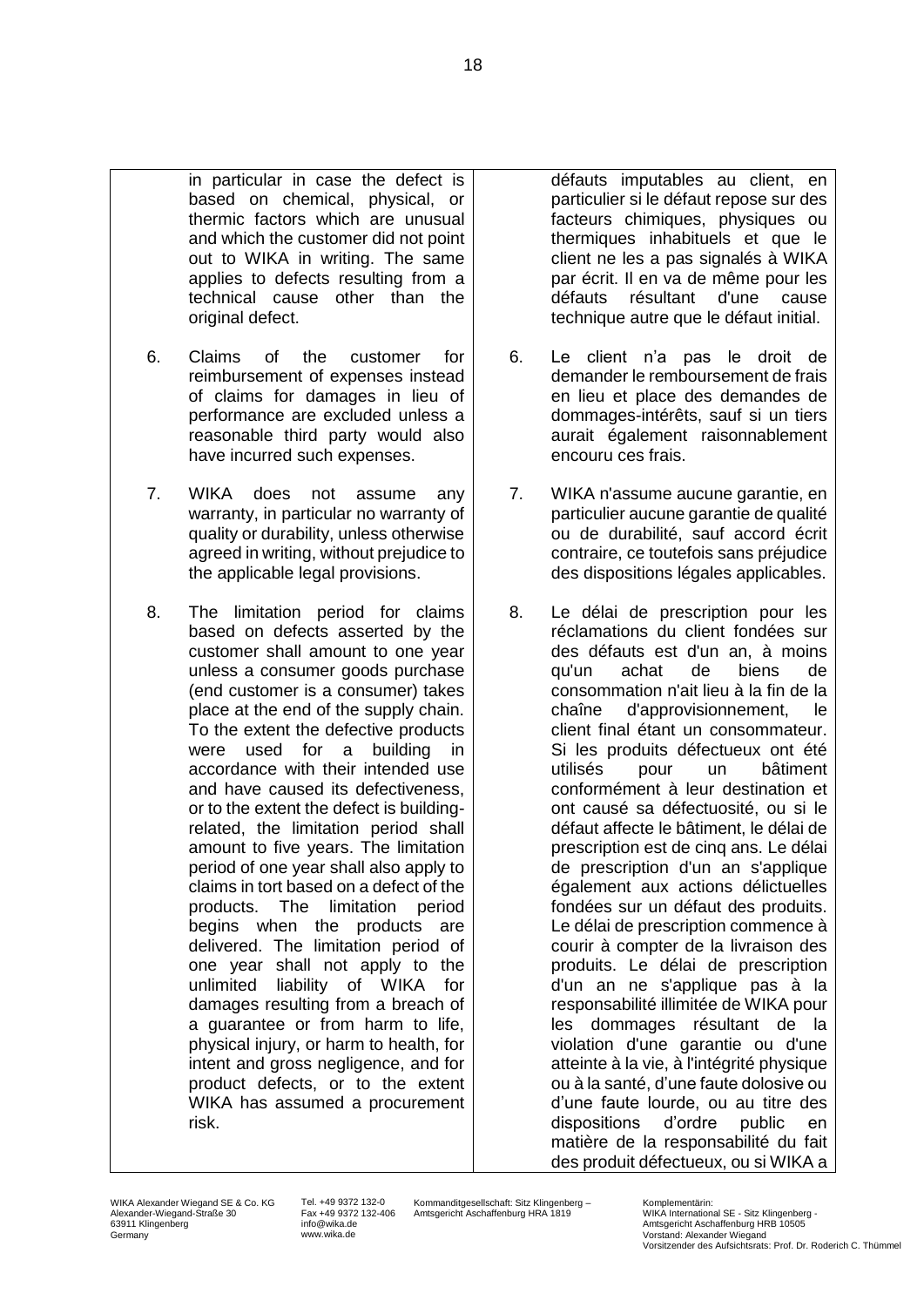- in particular in case the defect is based on chemical, physical, or thermic factors which are unusual and which the customer did not point out to WIKA in writing. The same applies to defects resulting from a technical cause other than the original defect.
- 6. Claims of the customer for reimbursement of expenses instead of claims for damages in lieu of performance are excluded unless a reasonable third party would also have incurred such expenses.
- 7. WIKA does not assume any warranty, in particular no warranty of quality or durability, unless otherwise agreed in writing, without prejudice to the applicable legal provisions.
- 8. The limitation period for claims based on defects asserted by the customer shall amount to one year unless a consumer goods purchase (end customer is a consumer) takes place at the end of the supply chain. To the extent the defective products were used for a building in accordance with their intended use and have caused its defectiveness, or to the extent the defect is buildingrelated, the limitation period shall amount to five years. The limitation period of one year shall also apply to claims in tort based on a defect of the products. The limitation period begins when the products are delivered. The limitation period of one year shall not apply to the unlimited liability of WIKA for damages resulting from a breach of a guarantee or from harm to life, physical injury, or harm to health, for intent and gross negligence, and for product defects, or to the extent WIKA has assumed a procurement risk.

défauts imputables au client, en particulier si le défaut repose sur des facteurs chimiques, physiques ou thermiques inhabituels et que le client ne les a pas signalés à WIKA par écrit. Il en va de même pour les défauts résultant d'une cause technique autre que le défaut initial.

- 6. Le client n'a pas le droit de demander le remboursement de frais en lieu et place des demandes de dommages-intérêts, sauf si un tiers aurait également raisonnablement encouru ces frais.
- 7. WIKA n'assume aucune garantie, en particulier aucune garantie de qualité ou de durabilité, sauf accord écrit contraire, ce toutefois sans préjudice des dispositions légales applicables.
- 8. Le délai de prescription pour les réclamations du client fondées sur des défauts est d'un an, à moins qu'un achat de biens de consommation n'ait lieu à la fin de la chaîne d'approvisionnement, le client final étant un consommateur. Si les produits défectueux ont été utilisés pour un bâtiment conformément à leur destination et ont causé sa défectuosité, ou si le défaut affecte le bâtiment, le délai de prescription est de cinq ans. Le délai de prescription d'un an s'applique également aux actions délictuelles fondées sur un défaut des produits. Le délai de prescription commence à courir à compter de la livraison des produits. Le délai de prescription d'un an ne s'applique pas à la responsabilité illimitée de WIKA pour les dommages résultant de la violation d'une garantie ou d'une atteinte à la vie, à l'intégrité physique ou à la santé, d'une faute dolosive ou d'une faute lourde, ou au titre des dispositions d'ordre public en matière de la responsabilité du fait des produit défectueux, ou si WIKA a

Tel. +49 9372 132-0 Fax +49 9372 132-406 info@wika.de www.wika.de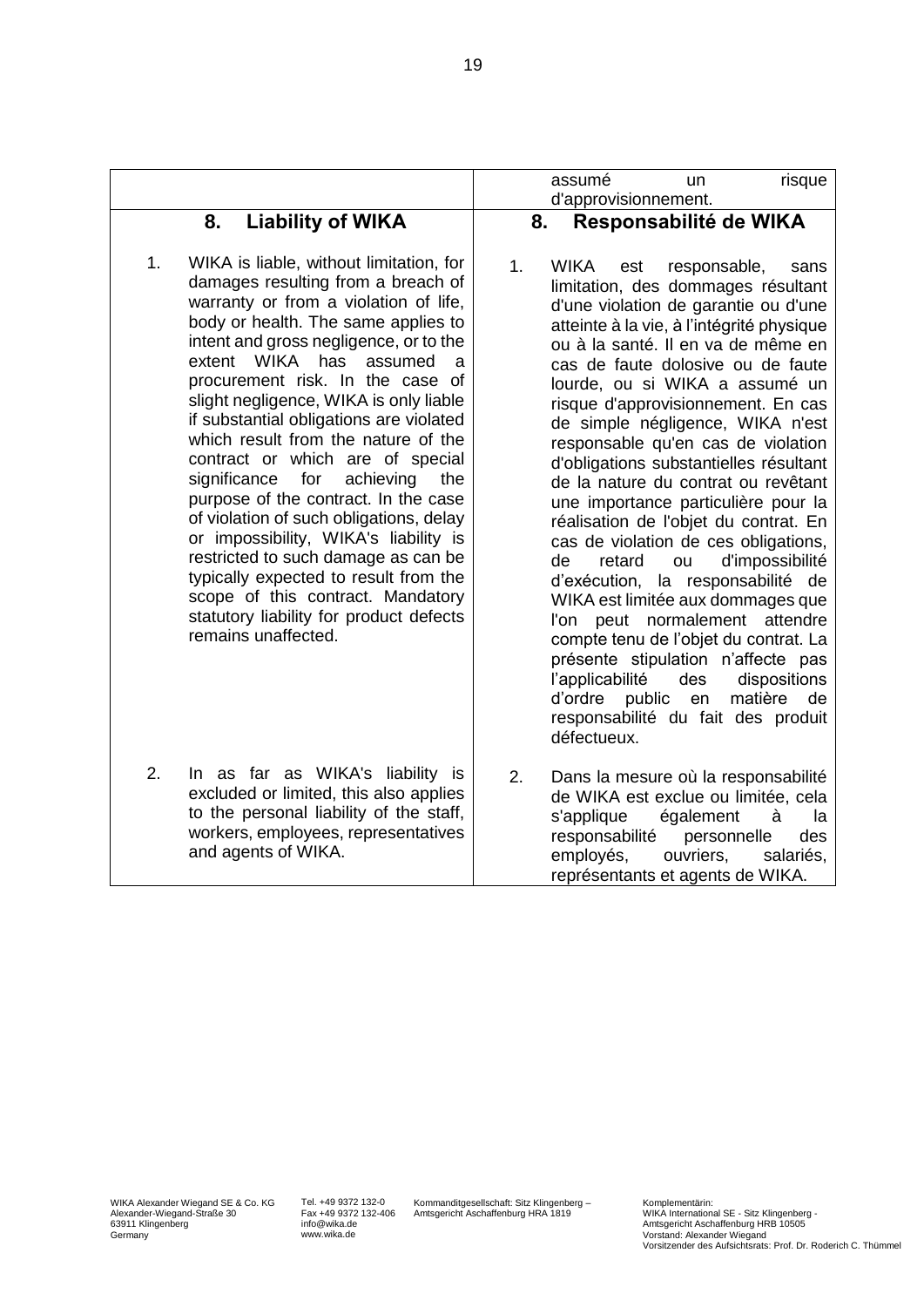|                                                                    |                                                                                                                                                                                                                                                                                                                                                                                                                                                                                                                                                                                                                                                                                                                                                    |    | assumé<br>d'approvisionnement.                                                                  | un                                                                                                                                                                                                                                                                                                                                                                                                                                                                                                                                                                                                                                                                                                                                                                                                  | risque                                                                           |
|--------------------------------------------------------------------|----------------------------------------------------------------------------------------------------------------------------------------------------------------------------------------------------------------------------------------------------------------------------------------------------------------------------------------------------------------------------------------------------------------------------------------------------------------------------------------------------------------------------------------------------------------------------------------------------------------------------------------------------------------------------------------------------------------------------------------------------|----|-------------------------------------------------------------------------------------------------|-----------------------------------------------------------------------------------------------------------------------------------------------------------------------------------------------------------------------------------------------------------------------------------------------------------------------------------------------------------------------------------------------------------------------------------------------------------------------------------------------------------------------------------------------------------------------------------------------------------------------------------------------------------------------------------------------------------------------------------------------------------------------------------------------------|----------------------------------------------------------------------------------|
| 8.                                                                 | <b>Liability of WIKA</b>                                                                                                                                                                                                                                                                                                                                                                                                                                                                                                                                                                                                                                                                                                                           | 8. |                                                                                                 | Responsabilité de WIKA                                                                                                                                                                                                                                                                                                                                                                                                                                                                                                                                                                                                                                                                                                                                                                              |                                                                                  |
| 1.<br>WIKA<br>extent<br>significance<br>for<br>remains unaffected. | WIKA is liable, without limitation, for<br>damages resulting from a breach of<br>warranty or from a violation of life,<br>body or health. The same applies to<br>intent and gross negligence, or to the<br>has<br>assumed<br>a<br>procurement risk. In the case of<br>slight negligence, WIKA is only liable<br>if substantial obligations are violated<br>which result from the nature of the<br>contract or which are of special<br>achieving<br>the<br>purpose of the contract. In the case<br>of violation of such obligations, delay<br>or impossibility, WIKA's liability is<br>restricted to such damage as can be<br>typically expected to result from the<br>scope of this contract. Mandatory<br>statutory liability for product defects | 1. | <b>WIKA</b><br>de<br>retard<br>d'exécution,<br>l'applicabilité<br>d'ordre public<br>défectueux. | responsable,<br>est<br>limitation, des dommages résultant<br>d'une violation de garantie ou d'une<br>atteinte à la vie, à l'intégrité physique<br>ou à la santé. Il en va de même en<br>cas de faute dolosive ou de faute<br>lourde, ou si WIKA a assumé un<br>risque d'approvisionnement. En cas<br>de simple négligence, WIKA n'est<br>responsable qu'en cas de violation<br>d'obligations substantielles résultant<br>de la nature du contrat ou revêtant<br>une importance particulière pour la<br>réalisation de l'objet du contrat. En<br>cas de violation de ces obligations,<br>ou<br>WIKA est limitée aux dommages que<br>l'on peut normalement attendre<br>compte tenu de l'objet du contrat. La<br>présente stipulation n'affecte pas<br>des<br>en<br>responsabilité du fait des produit | sans<br>d'impossibilité<br>la responsabilité de<br>dispositions<br>matière<br>de |
| 2.<br>and agents of WIKA.                                          | In as far as WIKA's liability is<br>excluded or limited, this also applies<br>to the personal liability of the staff,<br>workers, employees, representatives                                                                                                                                                                                                                                                                                                                                                                                                                                                                                                                                                                                       | 2. | s'applique<br>responsabilité<br>employés,                                                       | Dans la mesure où la responsabilité<br>de WIKA est exclue ou limitée, cela<br>également<br>personnelle<br>ouvriers,<br>représentants et agents de WIKA.                                                                                                                                                                                                                                                                                                                                                                                                                                                                                                                                                                                                                                             | à<br>la<br>des<br>salariés,                                                      |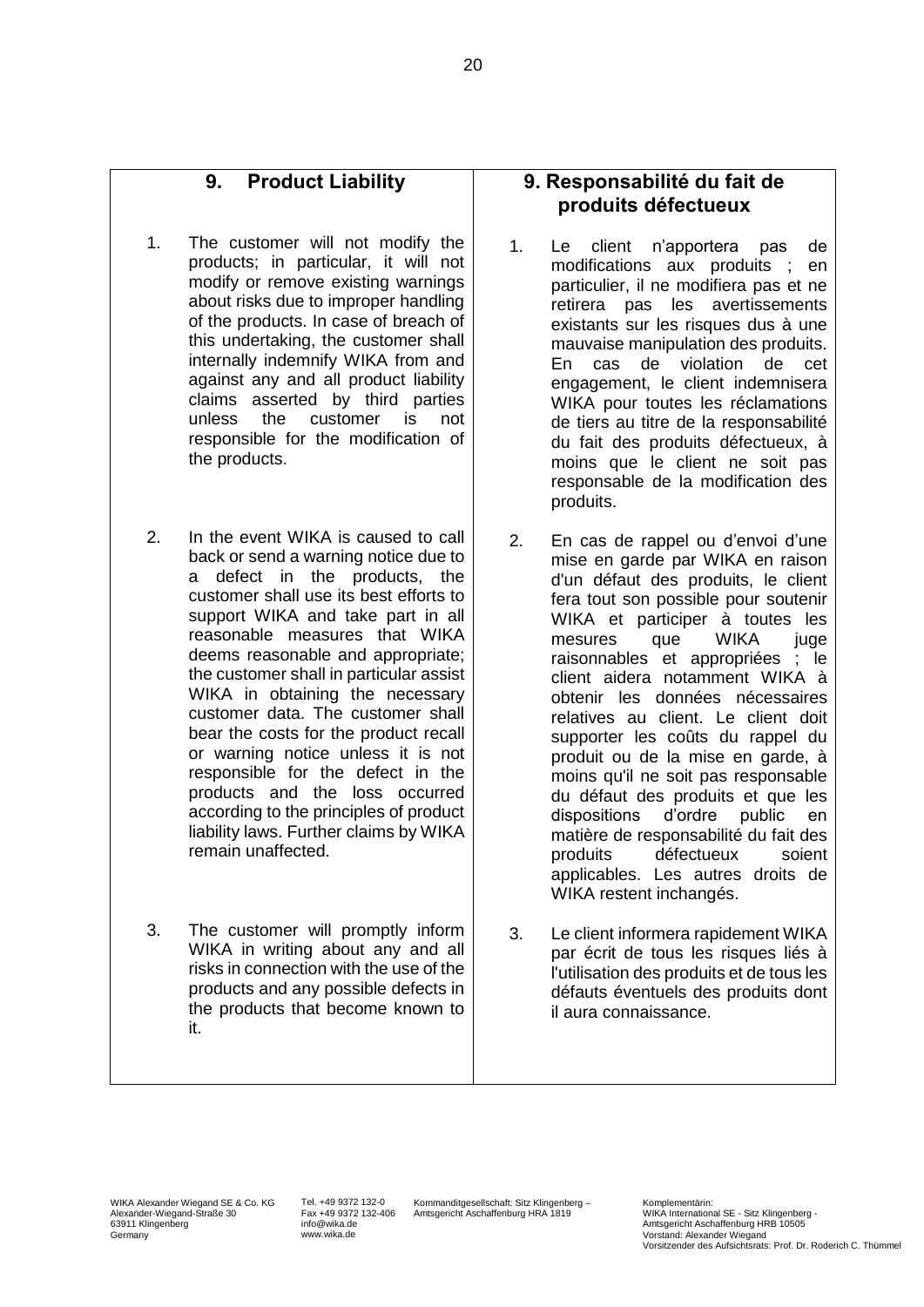### **9. Product Liability**

- 1. The customer will not modify the products; in particular, it will not modify or remove existing warnings about risks due to improper handling of the products. In case of breach of this undertaking, the customer shall internally indemnify WIKA from and against any and all product liability claims asserted by third parties unless the customer is not responsible for the modification of the products.
- 2. In the event WIKA is caused to call back or send a warning notice due to a defect in the products, the customer shall use its best efforts to support WIKA and take part in all reasonable measures that WIKA deems reasonable and appropriate; the customer shall in particular assist WIKA in obtaining the necessary customer data. The customer shall bear the costs for the product recall or warning notice unless it is not responsible for the defect in the products and the loss occurred according to the principles of product liability laws. Further claims by WIKA remain unaffected.
- 3. The customer will promptly inform WIKA in writing about any and all risks in connection with the use of the products and any possible defects in the products that become known to it.

### **9. Responsabilité du fait de produits défectueux**

- 1. Le client n'apportera pas de modifications aux produits ; en particulier, il ne modifiera pas et ne retirera pas les avertissements existants sur les risques dus à une mauvaise manipulation des produits. En cas de violation de cet engagement, le client indemnisera WIKA pour toutes les réclamations de tiers au titre de la responsabilité du fait des produits défectueux, à moins que le client ne soit pas responsable de la modification des produits.
- 2. En cas de rappel ou d'envoi d'une mise en garde par WIKA en raison d'un défaut des produits, le client fera tout son possible pour soutenir WIKA et participer à toutes les mesures que WIKA juge raisonnables et appropriées ; le client aidera notamment WIKA à obtenir les données nécessaires relatives au client. Le client doit supporter les coûts du rappel du produit ou de la mise en garde, à moins qu'il ne soit pas responsable du défaut des produits et que les dispositions d'ordre public en matière de responsabilité du fait des produits défectueux soient applicables. Les autres droits de WIKA restent inchangés.
- 3. Le client informera rapidement WIKA par écrit de tous les risques liés à l'utilisation des produits et de tous les défauts éventuels des produits dont il aura connaissance.

Tel. +49 9372 132-0 Fax +49 9372 132-406 info@wika.de www.wika.de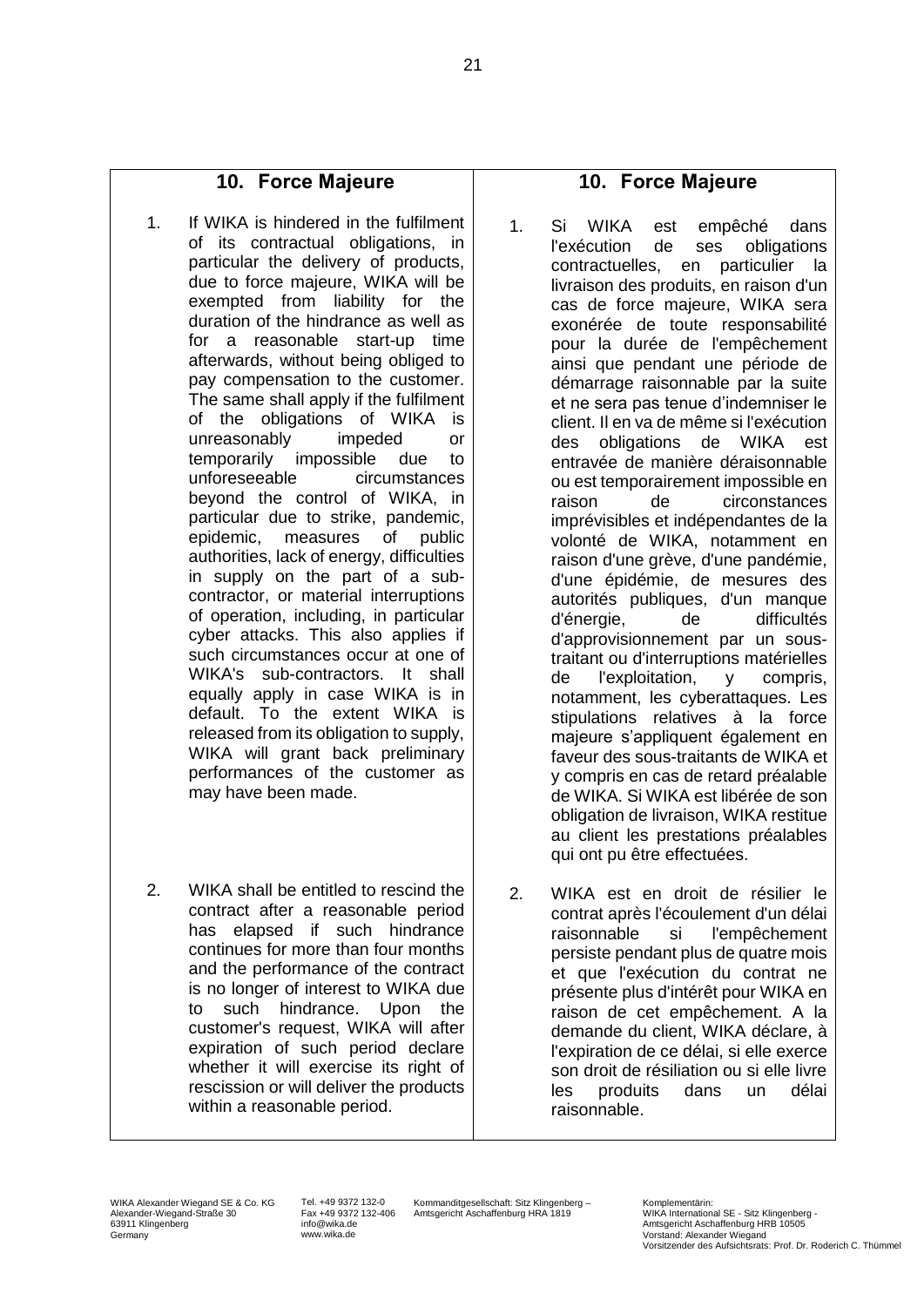### **10. Force Majeure**

- 1. If WIKA is hindered in the fulfilment of its contractual obligations, in particular the delivery of products, due to force majeure, WIKA will be exempted from liability for the duration of the hindrance as well as for a reasonable start-up time afterwards, without being obliged to pay compensation to the customer. The same shall apply if the fulfilment of the obligations of WIKA is unreasonably impeded or temporarily impossible due to unforeseeable circumstances beyond the control of WIKA, in particular due to strike, pandemic, epidemic, measures of public authorities, lack of energy, difficulties in supply on the part of a subcontractor, or material interruptions of operation, including, in particular cyber attacks. This also applies if such circumstances occur at one of WIKA's sub-contractors. It shall equally apply in case WIKA is in default. To the extent WIKA is released from its obligation to supply, WIKA will grant back preliminary performances of the customer as may have been made.
- 2. WIKA shall be entitled to rescind the contract after a reasonable period has elapsed if such hindrance continues for more than four months and the performance of the contract is no longer of interest to WIKA due to such hindrance. Upon the customer's request, WIKA will after expiration of such period declare whether it will exercise its right of rescission or will deliver the products within a reasonable period.

## **10. Force Majeure**

- 1. Si WIKA est empêché dans l'exécution de ses obligations contractuelles, en particulier la livraison des produits, en raison d'un cas de force majeure, WIKA sera exonérée de toute responsabilité pour la durée de l'empêchement ainsi que pendant une période de démarrage raisonnable par la suite et ne sera pas tenue d'indemniser le client. Il en va de même si l'exécution des obligations de WIKA est entravée de manière déraisonnable ou est temporairement impossible en raison de circonstances imprévisibles et indépendantes de la volonté de WIKA, notamment en raison d'une grève, d'une pandémie, d'une épidémie, de mesures des autorités publiques, d'un manque d'énergie, de difficultés d'approvisionnement par un soustraitant ou d'interruptions matérielles de l'exploitation, y compris, notamment, les cyberattaques. Les stipulations relatives à la force majeure s'appliquent également en faveur des sous-traitants de WIKA et y compris en cas de retard préalable de WIKA. Si WIKA est libérée de son obligation de livraison, WIKA restitue au client les prestations préalables qui ont pu être effectuées.
- 2. WIKA est en droit de résilier le contrat après l'écoulement d'un délai raisonnable si l'empêchement persiste pendant plus de quatre mois et que l'exécution du contrat ne présente plus d'intérêt pour WIKA en raison de cet empêchement. A la demande du client, WIKA déclare, à l'expiration de ce délai, si elle exerce son droit de résiliation ou si elle livre les produits dans un délai raisonnable.

Tel. +49 9372 132-0 Fax +49 9372 132-406 info@wika.de www.wika.de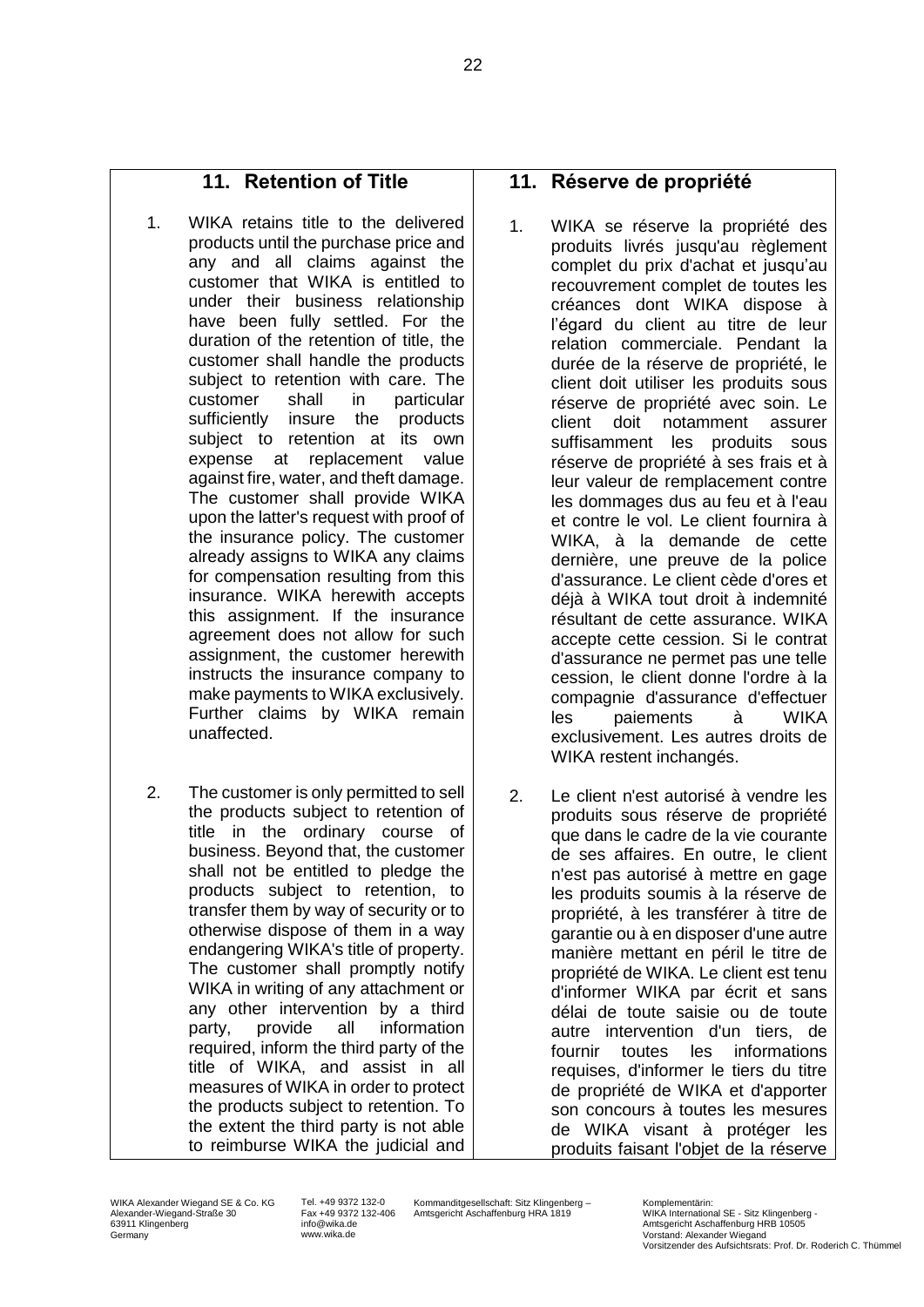## **11. Retention of Title**

- 1. WIKA retains title to the delivered products until the purchase price and any and all claims against the customer that WIKA is entitled to under their business relationship have been fully settled. For the duration of the retention of title, the customer shall handle the products subject to retention with care. The customer shall in particular sufficiently insure the products subject to retention at its own expense at replacement value against fire, water, and theft damage. The customer shall provide WIKA upon the latter's request with proof of the insurance policy. The customer already assigns to WIKA any claims for compensation resulting from this insurance. WIKA herewith accepts this assignment. If the insurance agreement does not allow for such assignment, the customer herewith instructs the insurance company to make payments to WIKA exclusively. Further claims by WIKA remain unaffected.
- 2. The customer is only permitted to sell the products subject to retention of title in the ordinary course of business. Beyond that, the customer shall not be entitled to pledge the products subject to retention, to transfer them by way of security or to otherwise dispose of them in a way endangering WIKA's title of property. The customer shall promptly notify WIKA in writing of any attachment or any other intervention by a third party, provide all information required, inform the third party of the title of WIKA, and assist in all measures of WIKA in order to protect the products subject to retention. To the extent the third party is not able to reimburse WIKA the judicial and

#### **11. Réserve de propriété**

- 1. WIKA se réserve la propriété des produits livrés jusqu'au règlement complet du prix d'achat et jusqu'au recouvrement complet de toutes les créances dont WIKA dispose à l'égard du client au titre de leur relation commerciale. Pendant la durée de la réserve de propriété, le client doit utiliser les produits sous réserve de propriété avec soin. Le client doit notamment assurer suffisamment les produits sous réserve de propriété à ses frais et à leur valeur de remplacement contre les dommages dus au feu et à l'eau et contre le vol. Le client fournira à WIKA, à la demande de cette dernière, une preuve de la police d'assurance. Le client cède d'ores et déjà à WIKA tout droit à indemnité résultant de cette assurance. WIKA accepte cette cession. Si le contrat d'assurance ne permet pas une telle cession, le client donne l'ordre à la compagnie d'assurance d'effectuer les paiements à WIKA exclusivement. Les autres droits de WIKA restent inchangés.
- 2. Le client n'est autorisé à vendre les produits sous réserve de propriété que dans le cadre de la vie courante de ses affaires. En outre, le client n'est pas autorisé à mettre en gage les produits soumis à la réserve de propriété, à les transférer à titre de garantie ou à en disposer d'une autre manière mettant en péril le titre de propriété de WIKA. Le client est tenu d'informer WIKA par écrit et sans délai de toute saisie ou de toute autre intervention d'un tiers, de fournir toutes les informations requises, d'informer le tiers du titre de propriété de WIKA et d'apporter son concours à toutes les mesures de WIKA visant à protéger les produits faisant l'objet de la réserve

WIKA Alexander Wiegand SE & Co. KG Alexander-Wiegand-Straße 30 63911 Klingenberg Germany

Tel. +49 9372 132-0 Fax +49 9372 132-406 info@wika.de www.wika.de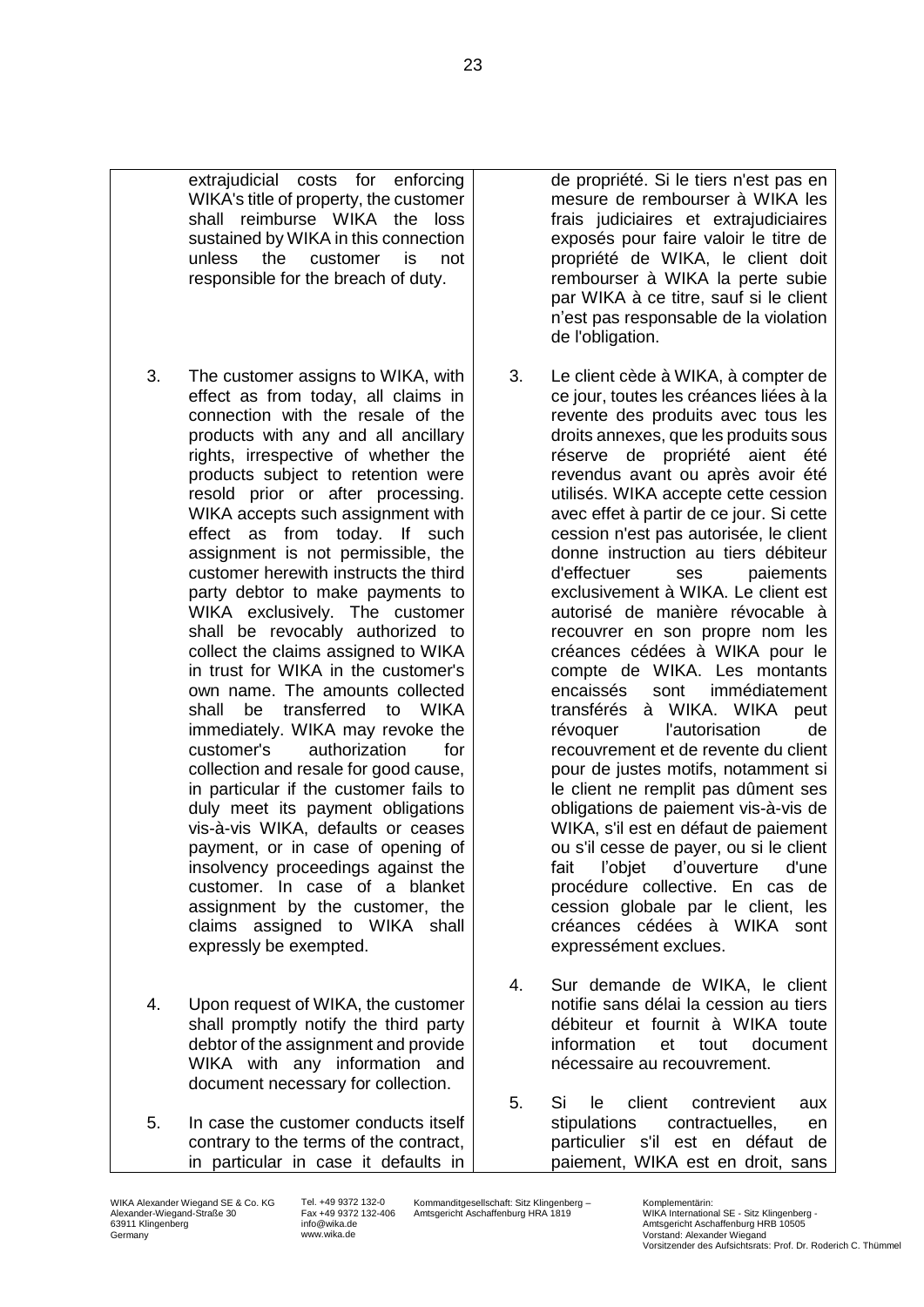

- 4. Upon request of WIKA, the customer shall promptly notify the third party debtor of the assignment and provide WIKA with any information and document necessary for collection.
- 5. In case the customer conducts itself contrary to the terms of the contract, in particular in case it defaults in

de propriété. Si le tiers n'est pas en mesure de rembourser à WIKA les frais judiciaires et extrajudiciaires exposés pour faire valoir le titre de propriété de WIKA, le client doit rembourser à WIKA la perte subie par WIKA à ce titre, sauf si le client n'est pas responsable de la violation de l'obligation.

- 3. Le client cède à WIKA, à compter de ce jour, toutes les créances liées à la revente des produits avec tous les droits annexes, que les produits sous réserve de propriété aient été revendus avant ou après avoir été utilisés. WIKA accepte cette cession avec effet à partir de ce jour. Si cette cession n'est pas autorisée, le client donne instruction au tiers débiteur d'effectuer ses paiements exclusivement à WIKA. Le client est autorisé de manière révocable à recouvrer en son propre nom les créances cédées à WIKA pour le compte de WIKA. Les montants encaissés sont immédiatement transférés à WIKA. WIKA peut révoquer l'autorisation de recouvrement et de revente du client pour de justes motifs, notamment si le client ne remplit pas dûment ses obligations de paiement vis-à-vis de WIKA, s'il est en défaut de paiement ou s'il cesse de payer, ou si le client fait l'objet d'ouverture d'une procédure collective. En cas de cession globale par le client, les créances cédées à WIKA sont expressément exclues.
- 4. Sur demande de WIKA, le client notifie sans délai la cession au tiers débiteur et fournit à WIKA toute information et tout document nécessaire au recouvrement.
- 5. Si le client contrevient aux stipulations contractuelles, en particulier s'il est en défaut de paiement, WIKA est en droit, sans

Tel. +49 9372 132-0 Fax +49 9372 132-406 info@wika.de www.wika.de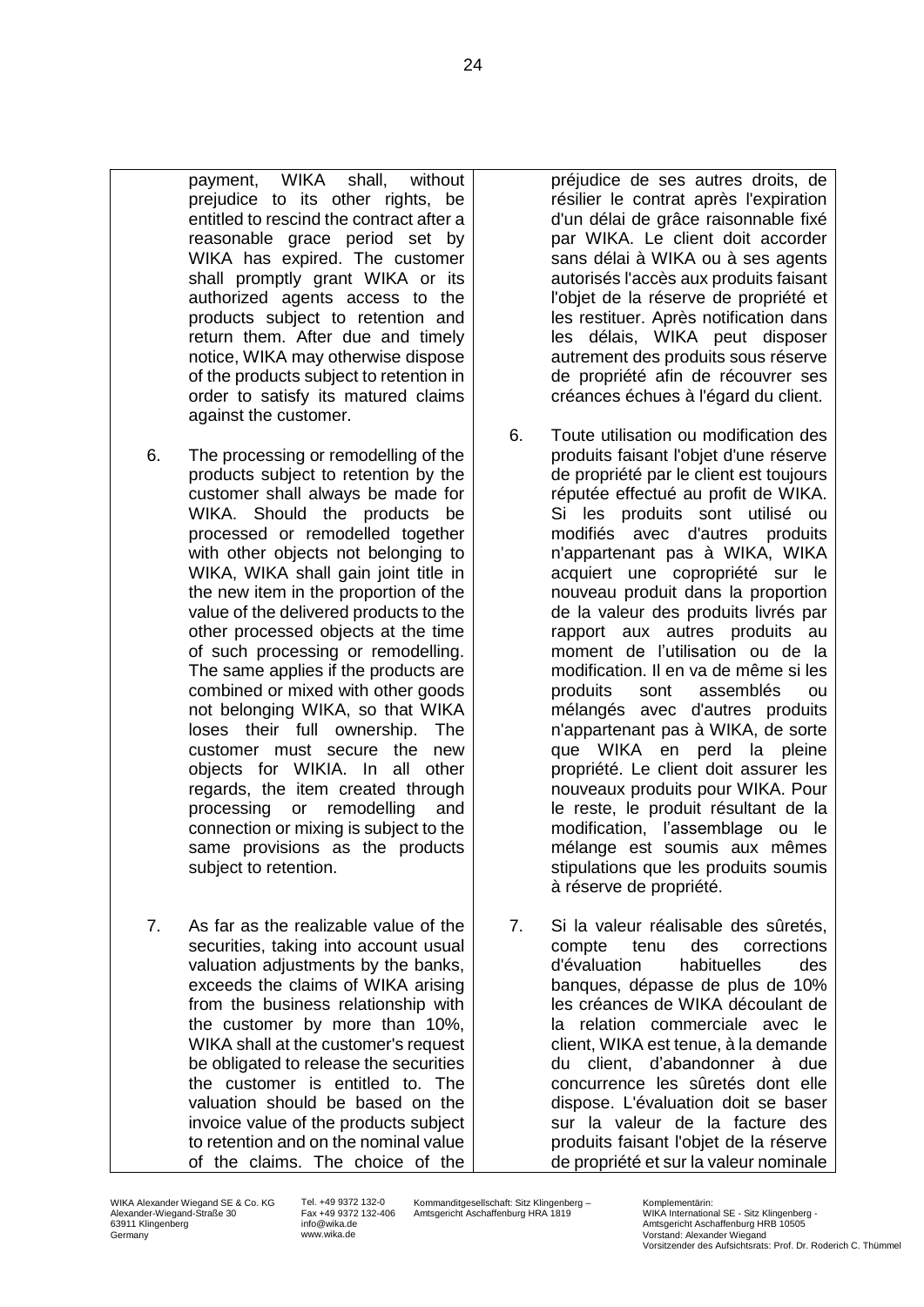payment, WIKA shall, without prejudice to its other rights, be entitled to rescind the contract after a reasonable grace period set by WIKA has expired. The customer shall promptly grant WIKA or its authorized agents access to the products subject to retention and return them. After due and timely notice, WIKA may otherwise dispose of the products subject to retention in order to satisfy its matured claims against the customer.

- 6. The processing or remodelling of the products subject to retention by the customer shall always be made for WIKA. Should the products be processed or remodelled together with other objects not belonging to WIKA, WIKA shall gain joint title in the new item in the proportion of the value of the delivered products to the other processed objects at the time of such processing or remodelling. The same applies if the products are combined or mixed with other goods not belonging WIKA, so that WIKA loses their full ownership. The customer must secure the new objects for WIKIA. In all other regards, the item created through processing or remodelling and connection or mixing is subject to the same provisions as the products subject to retention.
- 7. As far as the realizable value of the securities, taking into account usual valuation adjustments by the banks, exceeds the claims of WIKA arising from the business relationship with the customer by more than 10%, WIKA shall at the customer's request be obligated to release the securities the customer is entitled to. The valuation should be based on the invoice value of the products subject to retention and on the nominal value of the claims. The choice of the

préjudice de ses autres droits, de résilier le contrat après l'expiration d'un délai de grâce raisonnable fixé par WIKA. Le client doit accorder sans délai à WIKA ou à ses agents autorisés l'accès aux produits faisant l'objet de la réserve de propriété et les restituer. Après notification dans les délais, WIKA peut disposer autrement des produits sous réserve de propriété afin de récouvrer ses créances échues à l'égard du client.

- 6. Toute utilisation ou modification des produits faisant l'objet d'une réserve de propriété par le client est toujours réputée effectué au profit de WIKA. Si les produits sont utilisé ou modifiés avec d'autres produits n'appartenant pas à WIKA, WIKA acquiert une copropriété sur le nouveau produit dans la proportion de la valeur des produits livrés par rapport aux autres produits au moment de l'utilisation ou de la modification. Il en va de même si les produits sont assemblés ou mélangés avec d'autres produits n'appartenant pas à WIKA, de sorte que WIKA en perd la pleine propriété. Le client doit assurer les nouveaux produits pour WIKA. Pour le reste, le produit résultant de la modification, l'assemblage ou le mélange est soumis aux mêmes stipulations que les produits soumis à réserve de propriété.
- 7. Si la valeur réalisable des sûretés, compte tenu des corrections d'évaluation habituelles des banques, dépasse de plus de 10% les créances de WIKA découlant de la relation commerciale avec le client, WIKA est tenue, à la demande du client, d'abandonner à due concurrence les sûretés dont elle dispose. L'évaluation doit se baser sur la valeur de la facture des produits faisant l'objet de la réserve de propriété et sur la valeur nominale

Tel. +49 9372 132-0 Fax +49 9372 132-406 info@wika.de www.wika.de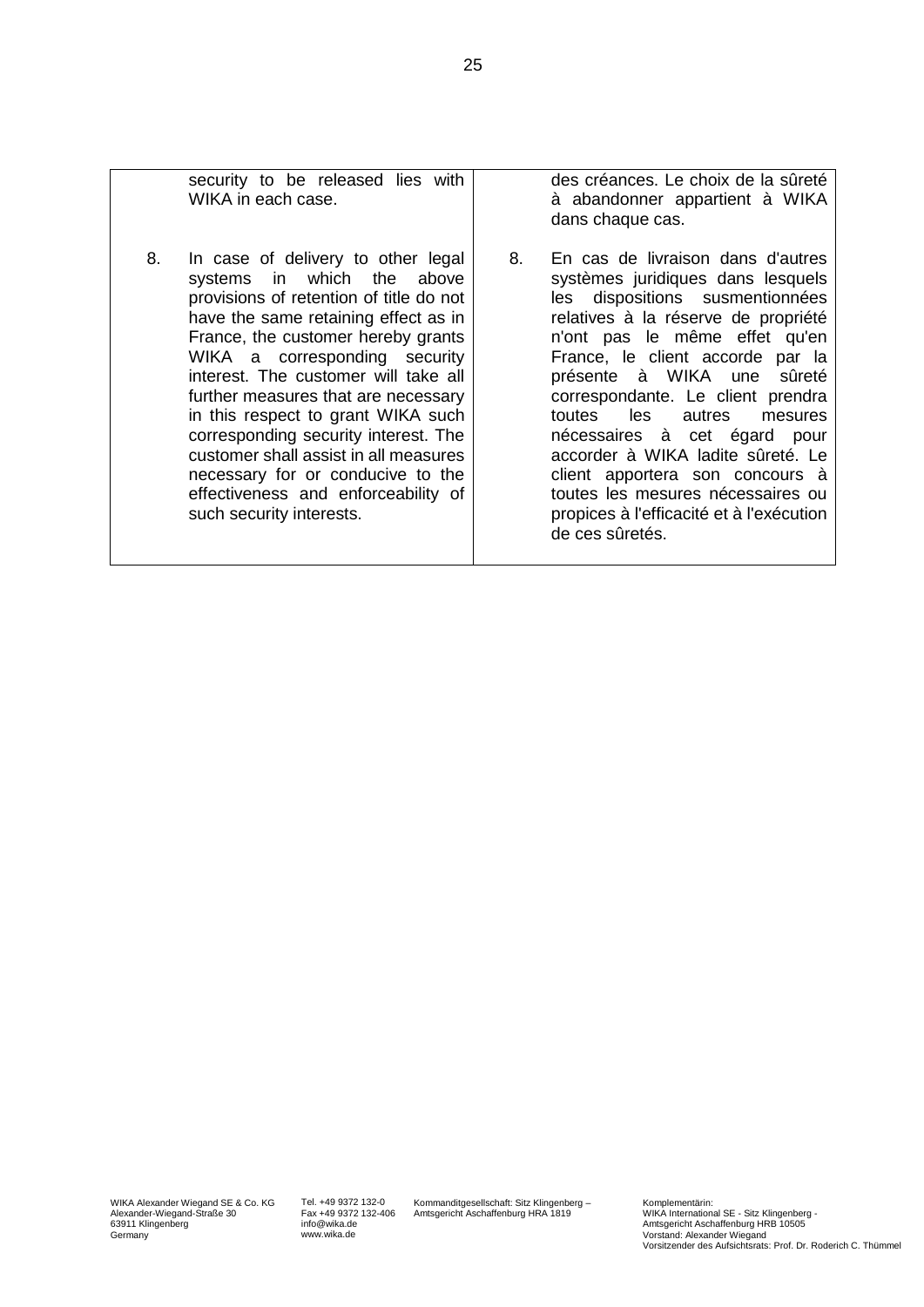| security to be released lies with<br>WIKA in each case.                                                                                                                                                                                                                                                                                                                                                                                                                                                                                        |    | des créances. Le choix de la sûreté<br>à abandonner appartient à WIKA<br>dans chaque cas.                                                                                                                                                                                                                                                                                                                                                                                                                                                        |
|------------------------------------------------------------------------------------------------------------------------------------------------------------------------------------------------------------------------------------------------------------------------------------------------------------------------------------------------------------------------------------------------------------------------------------------------------------------------------------------------------------------------------------------------|----|--------------------------------------------------------------------------------------------------------------------------------------------------------------------------------------------------------------------------------------------------------------------------------------------------------------------------------------------------------------------------------------------------------------------------------------------------------------------------------------------------------------------------------------------------|
| 8.<br>In case of delivery to other legal<br>systems in which the above<br>provisions of retention of title do not<br>have the same retaining effect as in<br>France, the customer hereby grants<br>WIKA a corresponding security<br>interest. The customer will take all<br>further measures that are necessary<br>in this respect to grant WIKA such<br>corresponding security interest. The<br>customer shall assist in all measures<br>necessary for or conducive to the<br>effectiveness and enforceability of<br>such security interests. | 8. | En cas de livraison dans d'autres<br>systèmes juridiques dans lesquels<br>dispositions susmentionnées<br>les<br>relatives à la réserve de propriété<br>n'ont pas le même effet qu'en<br>France, le client accorde par la<br>sûreté<br>présente à WIKA une<br>correspondante. Le client prendra<br>les<br>toutes<br>autres<br>mesures<br>nécessaires à cet égard pour<br>accorder à WIKA ladite sûreté. Le<br>client apportera son concours à<br>toutes les mesures nécessaires ou<br>propices à l'efficacité et à l'exécution<br>de ces sûretés. |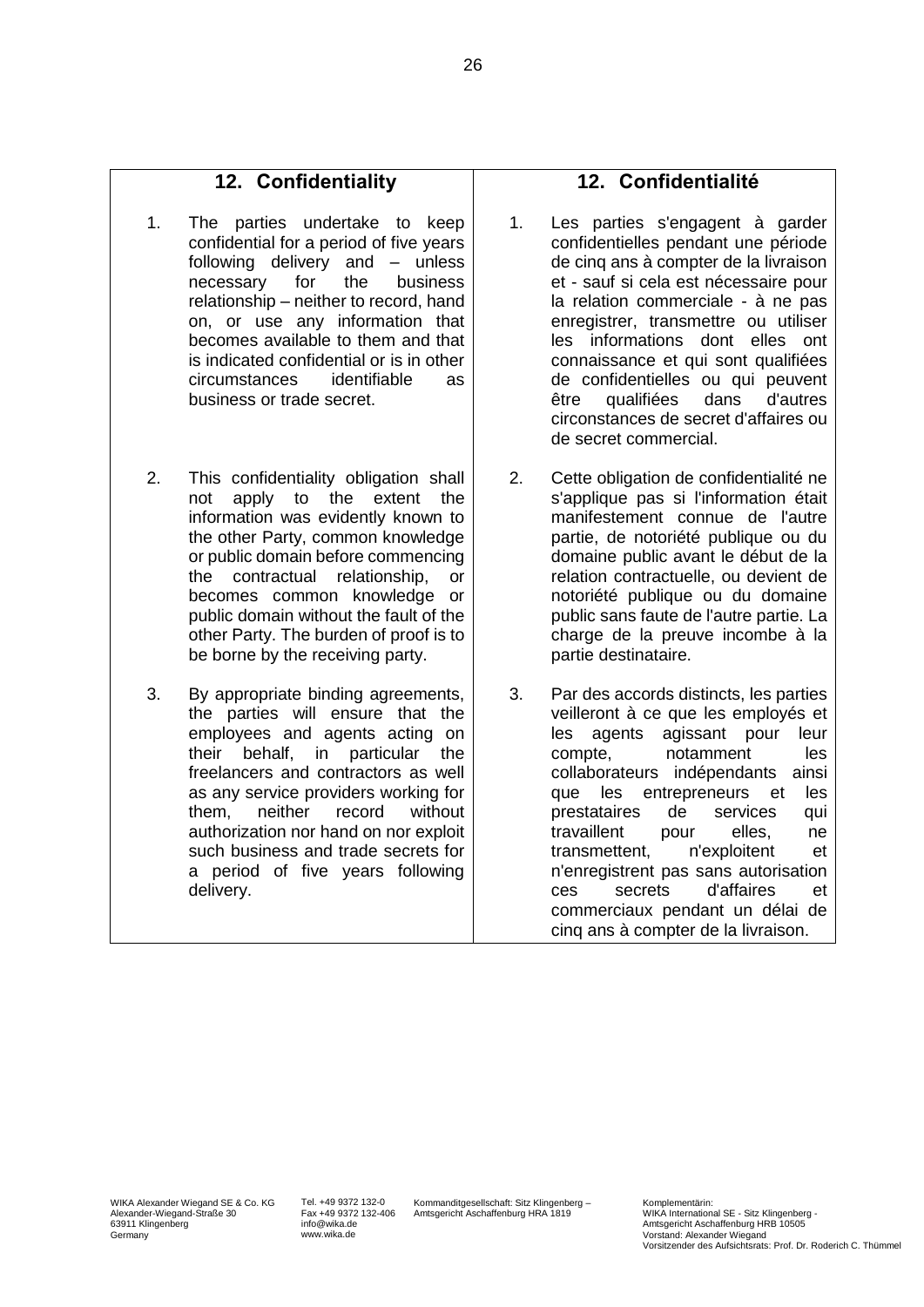#### **12. Confidentiality**

- 1. The parties undertake to keep confidential for a period of five years following delivery and – unless necessary for the business relationship – neither to record, hand on, or use any information that becomes available to them and that is indicated confidential or is in other circumstances identifiable as business or trade secret.
- 2. This confidentiality obligation shall not apply to the extent the information was evidently known to the other Party, common knowledge or public domain before commencing the contractual relationship, or becomes common knowledge or public domain without the fault of the other Party. The burden of proof is to be borne by the receiving party.
- 3. By appropriate binding agreements, the parties will ensure that the employees and agents acting on their behalf, in particular the freelancers and contractors as well as any service providers working for them, neither record without authorization nor hand on nor exploit such business and trade secrets for a period of five years following delivery.

### **12. Confidentialité**

- 1. Les parties s'engagent à garder confidentielles pendant une période de cinq ans à compter de la livraison et - sauf si cela est nécessaire pour la relation commerciale - à ne pas enregistrer, transmettre ou utiliser les informations dont elles ont connaissance et qui sont qualifiées de confidentielles ou qui peuvent être qualifiées dans d'autres circonstances de secret d'affaires ou de secret commercial.
- 2. Cette obligation de confidentialité ne s'applique pas si l'information était manifestement connue de l'autre partie, de notoriété publique ou du domaine public avant le début de la relation contractuelle, ou devient de notoriété publique ou du domaine public sans faute de l'autre partie. La charge de la preuve incombe à la partie destinataire.
- 3. Par des accords distincts, les parties veilleront à ce que les employés et les agents agissant pour leur compte, notamment les collaborateurs indépendants ainsi que les entrepreneurs et les prestataires de services qui travaillent pour elles, ne transmettent, n'exploitent et n'enregistrent pas sans autorisation ces secrets d'affaires et commerciaux pendant un délai de cinq ans à compter de la livraison.

Tel. +49 9372 132-0 Fax +49 9372 132-406 info@wika.de www.wika.de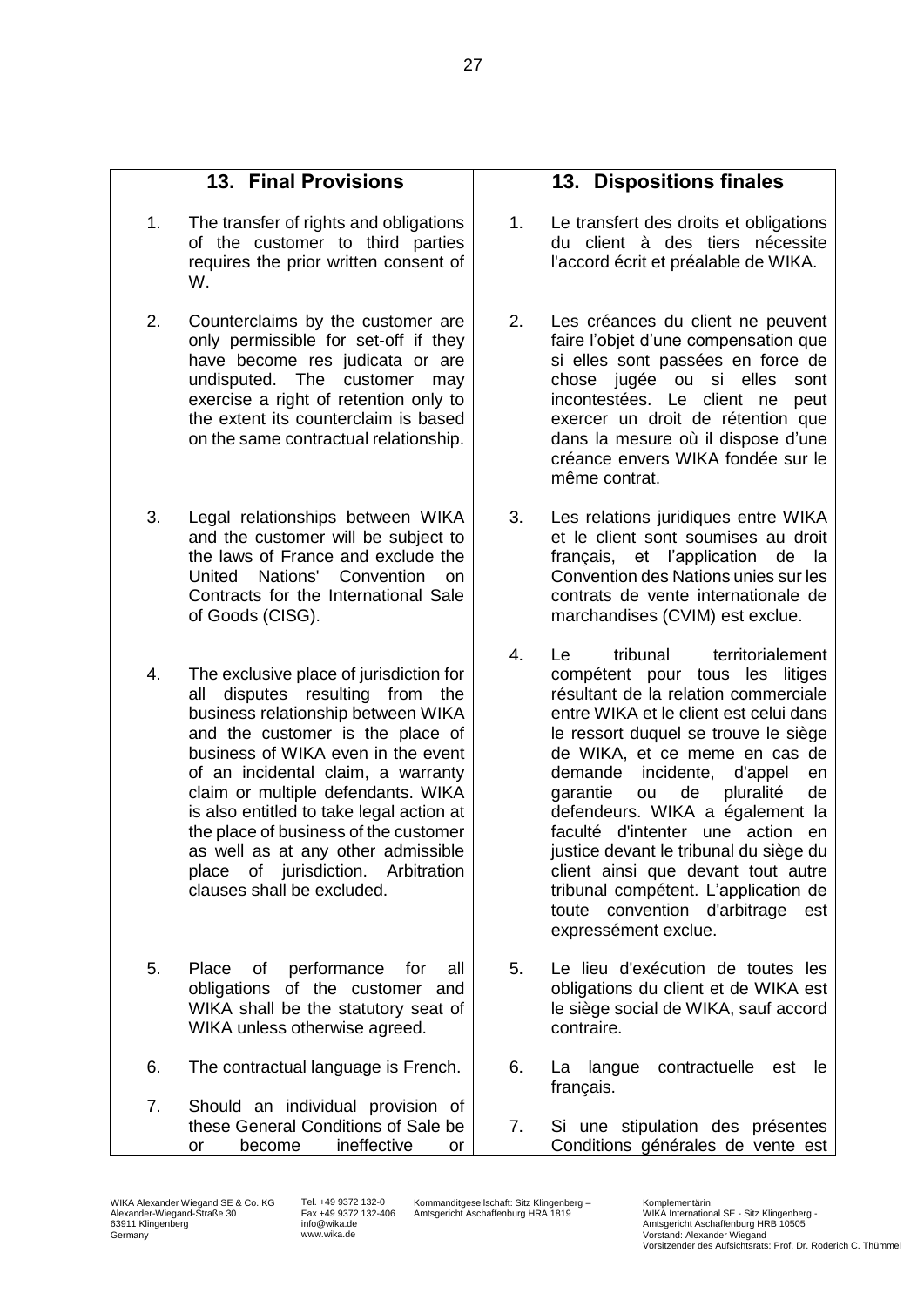## **13. Final Provisions**

- 1. The transfer of rights and obligations of the customer to third parties requires the prior written consent of W.
- 2. Counterclaims by the customer are only permissible for set-off if they have become res judicata or are undisputed. The customer may exercise a right of retention only to the extent its counterclaim is based on the same contractual relationship.
- 3. Legal relationships between WIKA and the customer will be subject to the laws of France and exclude the United Nations' Convention on Contracts for the International Sale of Goods (CISG).
- 4. The exclusive place of jurisdiction for all disputes resulting from the business relationship between WIKA and the customer is the place of business of WIKA even in the event of an incidental claim, a warranty claim or multiple defendants. WIKA is also entitled to take legal action at the place of business of the customer as well as at any other admissible place of jurisdiction. Arbitration clauses shall be excluded.
- 5. Place of performance for all obligations of the customer and WIKA shall be the statutory seat of WIKA unless otherwise agreed.
- 6. The contractual language is French.
- 7. Should an individual provision of these General Conditions of Sale be or become ineffective or

### **13. Dispositions finales**

- 1. Le transfert des droits et obligations du client à des tiers nécessite l'accord écrit et préalable de WIKA.
- 2. Les créances du client ne peuvent faire l'objet d'une compensation que si elles sont passées en force de chose jugée ou si elles sont incontestées. Le client ne peut exercer un droit de rétention que dans la mesure où il dispose d'une créance envers WIKA fondée sur le même contrat.
- 3. Les relations juridiques entre WIKA et le client sont soumises au droit français, et l'application de la Convention des Nations unies sur les contrats de vente internationale de marchandises (CVIM) est exclue.
- 4. Le tribunal territorialement compétent pour tous les litiges résultant de la relation commerciale entre WIKA et le client est celui dans le ressort duquel se trouve le siège de WIKA, et ce meme en cas de demande incidente, d'appel en garantie ou de pluralité de defendeurs. WIKA a également la faculté d'intenter une action en justice devant le tribunal du siège du client ainsi que devant tout autre tribunal compétent. L'application de toute convention d'arbitrage est expressément exclue.
- 5. Le lieu d'exécution de toutes les obligations du client et de WIKA est le siège social de WIKA, sauf accord contraire.
- 6. La langue contractuelle est le français.
- 7. Si une stipulation des présentes Conditions générales de vente est

Tel. +49 9372 132-0 Fax +49 9372 132-406 info@wika.de www.wika.de